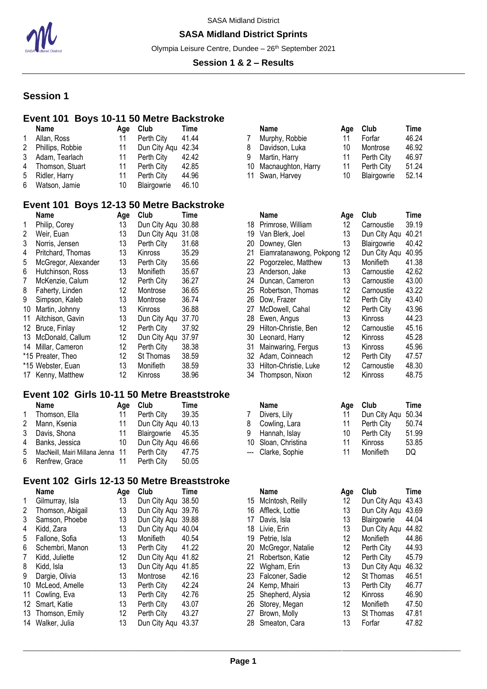

#### **SASA Midland District Sprints**

Olympia Leisure Centre, Dundee - 26<sup>th</sup> September 2021

#### **Session 1 & 2 – Results**

## **Session 1**

## **Event 101 Boys 10-11 50 Metre Backstroke**

|                      | Name             | Age | Club         | Time  |  |
|----------------------|------------------|-----|--------------|-------|--|
| 1                    | Allan, Ross      | 11  | Perth City   | 41.44 |  |
| $\mathbf{2}^{\circ}$ | Phillips, Robbie | 11  | Dun City Aqu | 42.34 |  |
| 3                    | Adam, Tearlach   | 11  | Perth City   | 42.42 |  |
| 4                    | Thomson, Stuart  | 11  | Perth City   | 42.85 |  |
| 5                    | Ridler, Harry    | 11  | Perth City   | 44.96 |  |
| 6                    | Watson, Jamie    | 10  | Blairgowrie  | 46.10 |  |
|                      |                  |     |              |       |  |

## **Event 101 Boys 12-13 50 Metre Backstroke**

|    | Name                | Age | Club           | Time  |     | Name                    | Age | Club         | Time           |
|----|---------------------|-----|----------------|-------|-----|-------------------------|-----|--------------|----------------|
|    | Philip, Corey       | 13  | Dun City Agu   | 30.88 | 18. | Primrose, William       | 12  | Carnoustie   | 39.19          |
| 2  | Weir, Euan          | 13  | Dun City Aqu   | 31.08 | 19  | Van Blerk, Joel         | 13  | Dun City Aqu | $40.2^{\circ}$ |
| 3  | Norris, Jensen      | 13  | Perth City     | 31.68 | 20  | Downey, Glen            | 13  | Blairgowrie  | 40.42          |
| 4  | Pritchard, Thomas   | 13  | Kinross        | 35.29 | 21  | Eiamratanawong, Pokpong | 12  | Dun City Agu | 40.95          |
| 5  | McGregor, Alexander | 13  | Perth City     | 35.66 | 22. | Pogorzelec, Matthew     | 13  | Monifieth    | 41.38          |
| 6  | Hutchinson, Ross    | 13  | Monifieth      | 35.67 | 23  | Anderson, Jake          | 13  | Carnoustie   | 42.62          |
| 7  | McKenzie, Calum     | 12  | Perth City     | 36.27 | 24  | Duncan, Cameron         | 13  | Carnoustie   | 43.00          |
| 8  | Faherty, Linden     | 12  | Montrose       | 36.65 | 25  | Robertson, Thomas       | 12  | Carnoustie   | 43.22          |
| 9  | Simpson, Kaleb      | 13  | Montrose       | 36.74 | 26  | Dow, Frazer             | 12  | Perth City   | 43.40          |
| 10 | Martin, Johnny      | 13  | <b>Kinross</b> | 36.88 | 27  | McDowell, Cahal         | 12  | Perth City   | 43.96          |
| 11 | Aitchison, Gavin    | 13  | Dun City Aqu   | 37.70 | 28. | Ewen, Angus             | 13  | Kinross      | 44.23          |
| 12 | Bruce, Finlay       | 12  | Perth City     | 37.92 | 29  | Hilton-Christie, Ben    | 12  | Carnoustie   | 45.16          |
| 13 | McDonald, Callum    | 12  | Dun City Agu   | 37.97 | 30  | Leonard, Harry          | 12  | Kinross      | 45.28          |
|    | 14 Millar, Cameron  | 12  | Perth City     | 38.38 | 31  | Mainwaring, Fergus      | 13  | Kinross      | 45.96          |
|    | *15 Preater, Theo   | 12  | St Thomas      | 38.59 | 32  | Adam, Coinneach         | 12  | Perth City   | 47.5           |
|    | *15 Webster, Euan   | 13  | Monifieth      | 38.59 | 33  | Hilton-Christie, Luke   | 12  | Carnoustie   | 48.3           |
|    | 17 Kenny, Matthew   | 12  | Kinross        | 38.96 | 34  | Thompson, Nixon         | 12  | Kinross      | 48.75          |

#### **Event 102 Girls 10-11 50 Metre Breaststroke**

|           | <b>Name</b>                        | Aae | Club               | <b>Time</b> |   | <b>Name</b>         |    | Age Club           | Time  |
|-----------|------------------------------------|-----|--------------------|-------------|---|---------------------|----|--------------------|-------|
| $1 \quad$ | Thomson, Ella                      |     | Perth City         | 39.35       |   | Divers, Lily        |    | Dun City Agu 50.34 |       |
|           | 2 Mann, Ksenia                     |     | Dun City Agu 40.13 |             | 8 | Cowling, Lara       |    | Perth City         | 50.74 |
|           | 3 Davis, Shona                     | 11  | Blairgowrie 45.35  |             | 9 | Hannah, Islay       | 10 | Perth City         | 51.9  |
|           | 4 Banks, Jessica                   | 10  | Dun City Agu 46.66 |             |   | 10 Sloan, Christina |    | Kinross            | 53.8  |
|           | 5 MacNeill, Mairi Millana Jenna 11 |     | Perth City         | 47.75       |   | --- Clarke, Sophie  |    | Monifieth          | DQ    |
|           | 6 Renfrew, Grace                   |     | Perth City         | 50.05       |   |                     |    |                    |       |

## **Event 102 Girls 12-13 50 Metre Breaststroke**

|    | Name             | Age | Club         | Time  |  |
|----|------------------|-----|--------------|-------|--|
| 1  | Gilmurray, Isla  | 13  | Dun City Aqu | 38.50 |  |
| 2  | Thomson, Abigail | 13  | Dun City Aqu | 39.76 |  |
| 3  | Samson, Phoebe   | 13  | Dun City Aqu | 39.88 |  |
| 4  | Kidd, Zara       | 13  | Dun City Aqu | 40.04 |  |
| 5  | Fallone, Sofia   | 13  | Monifieth    | 40.54 |  |
| 6  | Schembri, Manon  | 13  | Perth City   | 41.22 |  |
| 7  | Kidd, Juliette   | 12  | Dun City Aqu | 41.82 |  |
| 8  | Kidd, Isla       | 13  | Dun City Aqu | 41.85 |  |
| 9  | Dargie, Olivia   | 13  | Montrose     | 42.16 |  |
| 10 | McLeod, Amelle   | 13  | Perth City   | 42.24 |  |
| 11 | Cowling, Eva     | 13  | Perth City   | 42.76 |  |
| 12 | Smart, Katie     | 13  | Perth City   | 43.07 |  |
| 13 | Thomson, Emily   | 12  | Perth City   | 43.27 |  |
| 14 | Walker, Julia    | 13  | Dun City Aqu | 43.37 |  |
|    |                  |     |              |       |  |

| Aae | Club       | Time  |                    | Name           | Aae                                                       | Club        | Time  |
|-----|------------|-------|--------------------|----------------|-----------------------------------------------------------|-------------|-------|
| 11  | Perth City | 41.44 |                    | Murphy, Robbie | 11                                                        | Forfar      | 46.24 |
|     |            |       |                    | Davidson, Luka | 10                                                        | Montrose    | 46.92 |
| 11  | Perth City | 42.42 |                    |                |                                                           | Perth City  | 46.97 |
| 11  | Perth City | 42.85 |                    |                |                                                           | Perth City  | 51.24 |
|     | Perth City | 44.96 |                    |                | 10                                                        | Blairgowrie | 52.14 |
|     |            |       | Dun City Agu 42.34 |                | Martin, Harry<br>10 Macnaughton, Harry<br>11 Swan, Harvey |             |       |

|    | <b>Name</b>             | Age               | Club         | Time  |
|----|-------------------------|-------------------|--------------|-------|
| 18 | Primrose, William       | 12 <sup>°</sup>   | Carnoustie   | 39.19 |
| 19 | Van Blerk, Joel         | 13                | Dun City Aqu | 40.21 |
| 20 | Downey, Glen            | 13                | Blairgowrie  | 40.42 |
| 21 | Eiamratanawong, Pokpong | 12                | Dun City Agu | 40.95 |
| 22 | Pogorzelec, Matthew     | 13                | Monifieth    | 41.38 |
| 23 | Anderson, Jake          | 13                | Carnoustie   | 42.62 |
| 24 | Duncan, Cameron         | 13                | Carnoustie   | 43.00 |
| 25 | Robertson, Thomas       | 12                | Carnoustie   | 43.22 |
| 26 | Dow, Frazer             | 12                | Perth City   | 43.40 |
| 27 | McDowell, Cahal         | 12                | Perth City   | 43.96 |
| 28 | Ewen, Angus             | 13                | Kinross      | 44.23 |
| 29 | Hilton-Christie, Ben    | $12 \overline{ }$ | Carnoustie   | 45.16 |
| 30 | Leonard, Harry          | 12                | Kinross      | 45.28 |
| 31 | Mainwaring, Fergus      | 13                | Kinross      | 45.96 |
| 32 | Adam, Coinneach         | 12                | Perth City   | 47.57 |
| 33 | Hilton-Christie, Luke   | 12                | Carnoustie   | 48.30 |
| 34 | Thompson, Nixon         | 12                | Kinross      | 48.75 |

| <b>Name</b>         | Age | Club               | Time  |
|---------------------|-----|--------------------|-------|
| Divers, Lily        | 11  | Dun City Aqu 50.34 |       |
| 8 Cowling, Lara     | 11  | Perth City         | 50.74 |
| 9 Hannah, Islay     | 10  | Perth City         | 51.99 |
| 10 Sloan, Christina | 11  | Kinross            | 53.85 |
| --- Clarke, Sophie  | 11  | Monifieth          | DQ    |
|                     |     |                    |       |

| Name             | Age | Club               | Time  |    | <b>Name</b>         | Age | Club               | Time  |
|------------------|-----|--------------------|-------|----|---------------------|-----|--------------------|-------|
| Gilmurray, Isla  | 13  | Dun City Agu 38.50 |       | 15 | McIntosh, Reilly    | 12  | Dun City Aqu 43.43 |       |
| Thomson, Abigail | 13  | Dun City Agu 39.76 |       | 16 | Affleck, Lottie     | 13  | Dun City Agu       | 43.69 |
| Samson, Phoebe   | 13  | Dun City Agu 39.88 |       | 17 | Davis, Isla         | 13  | <b>Blairgowrie</b> | 44.04 |
| Kidd, Zara       | 13  | Dun City Aqu 40.04 |       | 18 | Livie, Erin         | 13  | Dun City Agu       | 44.82 |
| Fallone, Sofia   | 13  | Monifieth          | 40.54 | 19 | Petrie, Isla        | 12  | <b>Monifieth</b>   | 44.86 |
| Schembri, Manon  | 13  | Perth City         | 41.22 | 20 | McGregor, Natalie   | 12  | Perth City         | 44.93 |
| Kidd, Juliette   | 12  | Dun City Agu       | 41.82 | 21 | Robertson, Katie    | 12  | Perth City         | 45.79 |
| Kidd. Isla       | 13  | Dun City Agu       | 41.85 |    | 22 Wigham, Erin     | 13  | Dun City Agu       | 46.32 |
| Dargie, Olivia   | 13  | Montrose           | 42.16 |    | 23 Falconer, Sadie  | 12  | St Thomas          | 46.51 |
| McLeod, Amelle   | 13  | Perth City         | 42.24 | 24 | Kemp, Mhairi        | 13  | Perth City         | 46.77 |
| Cowling, Eva     | 13  | Perth City         | 42.76 |    | 25 Shepherd, Alysia | 12  | Kinross            | 46.90 |
| Smart, Katie     | 13  | Perth City         | 43.07 | 26 | Storey, Megan       | 12  | Monifieth          | 47.50 |
| Thomson, Emily   | 12  | Perth City         | 43.27 | 27 | Brown, Molly        | 13  | St Thomas          | 47.81 |
| Walker, Julia    | 13  | Dun City Aqu       | 43.37 | 28 | Smeaton, Cara       | 13  | Forfar             | 47.82 |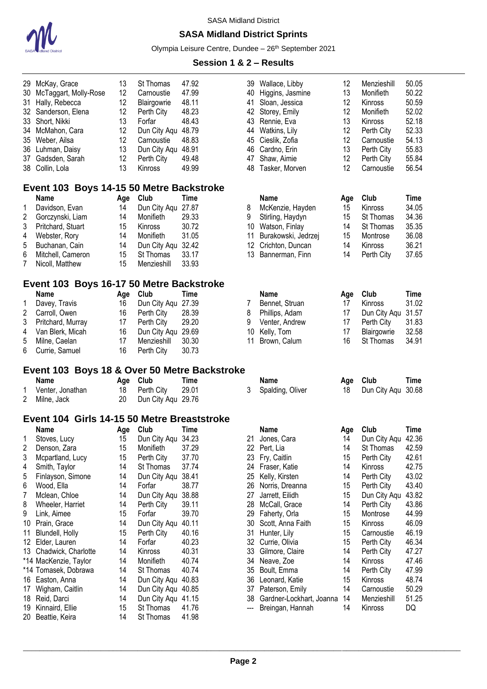

## **SASA Midland District Sprints**

Olympia Leisure Centre, Dundee - 26<sup>th</sup> September 2021

| 29. | McKay, Grace                                 | 13  | St Thomas          | 47.92       | 39  | Wallace, Libby              | 12  | Menzieshill        | 50.05 |
|-----|----------------------------------------------|-----|--------------------|-------------|-----|-----------------------------|-----|--------------------|-------|
| 30  | McTaggart, Molly-Rose                        | 12  | Carnoustie         | 47.99       | 40  | Higgins, Jasmine            | 13  | Monifieth          | 50.22 |
| 31  | Hally, Rebecca                               | 12  | Blairgowrie        | 48.11       | 41  | Sloan, Jessica              | 12  | Kinross            | 50.59 |
| 32  | Sanderson, Elena                             | 12  | Perth City         | 48.23       | 42  | Storey, Emily               | 12  | Monifieth          | 52.02 |
| 33  | Short, Nikki                                 | 13  | Forfar             | 48.43       |     | 43 Rennie, Eva              | 13  | Kinross            | 52.18 |
| 34  | McMahon, Cara                                | 12  | Dun City Aqu 48.79 |             |     | 44 Watkins, Lily            | 12  | Perth City         | 52.33 |
| 35  | Weber, Ailsa                                 | 12  | Carnoustie         | 48.83       | 45  | Cieslik, Zofia              | 12  | Carnoustie         | 54.13 |
| 36  | Luhman, Daisy                                | 13  | Dun City Aqu 48.91 |             | 46  | Cardno, Erin                | 13  | Perth City         | 55.83 |
| 37  | Gadsden, Sarah                               | 12  | Perth City         | 49.48       | 47  | Shaw, Aimie                 | 12  | Perth City         | 55.84 |
| 38  | Collin, Lola                                 | 13  | Kinross            | 49.99       | 48  | Tasker, Morven              | 12  | Carnoustie         | 56.54 |
|     | Event 103 Boys 14-15 50 Metre Backstroke     |     |                    |             |     |                             |     |                    |       |
|     | <b>Name</b>                                  | Age | Club               | Time        |     | <b>Name</b>                 | Age | Club               | Time  |
| 1   | Davidson, Evan                               | 14  | Dun City Aqu 27.87 |             | 8   | McKenzie, Hayden            | 15  | Kinross            | 34.05 |
| 2   | Gorczynski, Liam                             | 14  | Monifieth          | 29.33       | 9   | Stirling, Haydyn            | 15  | St Thomas          | 34.36 |
| 3   | Pritchard, Stuart                            | 15  | Kinross            | 30.72       |     | 10 Watson, Finlay           | 14  | St Thomas          | 35.35 |
| 4   | Webster, Rory                                | 14  | Monifieth          | 31.05       | 11  | Burakowski, Jedrzej         | 15  | Montrose           | 36.08 |
| 5   | Buchanan, Cain                               | 14  | Dun City Aqu       | 32.42       | 12  | Crichton, Duncan            | 14  | Kinross            | 36.21 |
| 6   | Mitchell, Cameron                            | 15  | St Thomas          | 33.17       | 13  | Bannerman, Finn             | 14  | Perth City         | 37.65 |
| 7   | Nicoll, Matthew                              | 15  | Menzieshill        | 33.93       |     |                             |     |                    |       |
|     | Event 103 Boys 16-17 50 Metre Backstroke     |     |                    |             |     |                             |     |                    |       |
|     | <b>Name</b>                                  | Age | Club               | Time        |     | <b>Name</b>                 | Age | Club               | Time  |
| 1   | Davey, Travis                                | 16  | Dun City Aqu 27.39 |             | 7   | Bennet, Struan              | 17  | Kinross            | 31.02 |
| 2   | Carroll, Owen                                | 16  | Perth City         | 28.39       | 8   | Phillips, Adam              | 17  | Dun City Aqu       | 31.57 |
| 3   | Pritchard, Murray                            | 17  | Perth City         | 29.20       | 9   | Venter, Andrew              | 17  | Perth City         | 31.83 |
| 4   | Van Blerk, Micah                             | 16  | Dun City Aqu 29.69 |             | 10  | Kelly, Tom                  | 17  | Blairgowrie        | 32.58 |
| 5   | Milne, Caelan                                | 17  | Menzieshill        | 30.30       | 11  | Brown, Calum                | 16  | St Thomas          | 34.91 |
| 6   |                                              | 16  |                    | 30.73       |     |                             |     |                    |       |
|     | Currie, Samuel                               |     | Perth City         |             |     |                             |     |                    |       |
|     | Event 103 Boys 18 & Over 50 Metre Backstroke |     |                    |             |     |                             |     |                    |       |
|     | <b>Name</b>                                  | Age | Club               | <b>Time</b> |     | <b>Name</b>                 | Age | Club               | Time  |
| 1   | Venter, Jonathan                             | 18  | Perth City         | 29.01       | 3   | Spalding, Oliver            | 18  | Dun City Aqu       | 30.68 |
| 2   | Milne, Jack                                  | 20  | Dun City Aqu 29.76 |             |     |                             |     |                    |       |
|     | Event 104 Girls 14-15 50 Metre Breaststroke  |     |                    |             |     |                             |     |                    |       |
|     | <b>Name</b>                                  |     | Age Club           | Time        |     | Name                        | Age | Club               | Time  |
|     | Stoves, Lucy                                 | 15  | Dun City Aqu 34.23 |             |     | 21 Jones, Cara              | 14  | Dun City Aqu 42.36 |       |
| 2   | Denson, Zara                                 | 15  | Monifieth          | 37.29       |     | 22 Pert, Lia                | 14  | St Thomas          | 42.59 |
| 3   | Mcpartland, Lucy                             | 15  | Perth City         | 37.70       | 23  | Fry, Caitlin                | 15  | Perth City         | 42.61 |
| 4   | Smith, Taylor                                | 14  | St Thomas          | 37.74       |     | 24 Fraser, Katie            | 14  | Kinross            | 42.75 |
| 5   | Finlayson, Simone                            | 14  | Dun City Aqu 38.41 |             | 25  | Kelly, Kirsten              | 14  | Perth City         | 43.02 |
| 6   | Wood, Ella                                   | 14  | Forfar             | 38.77       |     | 26 Norris, Dreanna          | 15  | Perth City         | 43.40 |
| 7   | Mclean, Chloe                                | 14  | Dun City Aqu 38.88 |             | 27  | Jarrett, Eilidh             | 15  | Dun City Aqu       | 43.82 |
| 8   | Wheeler, Harriet                             | 14  | Perth City         | 39.11       | 28  | McCall, Grace               | 14  | Perth City         | 43.86 |
| 9   | Link, Aimee                                  | 15  | Forfar             | 39.70       |     | 29 Faherty, Orla            | 15  | Montrose           | 44.99 |
| 10  | Prain, Grace                                 | 14  | Dun City Aqu 40.11 |             | 30  | Scott, Anna Faith           | 15  | Kinross            | 46.09 |
| 11  | Blundell, Holly                              | 15  | Perth City         | 40.16       | 31  | Hunter, Lily                | 15  | Carnoustie         | 46.19 |
| 12  | Elder, Lauren                                | 14  | Forfar             | 40.23       |     | 32 Currie, Olivia           | 15  | Perth City         | 46.34 |
| 13  | Chadwick, Charlotte                          | 14  | Kinross            | 40.31       | 33  | Gilmore, Claire             | 14  | Perth City         | 47.27 |
|     | *14 MacKenzie, Taylor                        | 14  | Monifieth          | 40.74       | 34  | Neave, Zoe                  | 14  | Kinross            | 47.46 |
|     | *14 Tomasek, Dobrawa                         | 14  | St Thomas          | 40.74       |     | 35 Boult, Emma              | 14  | Perth City         | 47.99 |
| 16  | Easton, Anna                                 | 14  | Dun City Aqu 40.83 |             |     | 36 Leonard, Katie           | 15  | Kinross            | 48.74 |
| 17  | Wigham, Caitlin                              | 14  | Dun City Aqu 40.85 |             |     | 37 Paterson, Emily          | 14  | Carnoustie         | 50.29 |
| 18  | Reid, Darci                                  | 14  | Dun City Aqu 41.15 |             |     | 38 Gardner-Lockhart, Joanna | 14  | Menzieshill        | 51.25 |
| 19  | Kinnaird, Ellie                              | 15  | St Thomas          | 41.76       | --- | Breingan, Hannah            | 14  | Kinross            | DQ    |
| 20  | Beattie, Keira                               | 14  | St Thomas          | 41.98       |     |                             |     |                    |       |
|     |                                              |     |                    |             |     |                             |     |                    |       |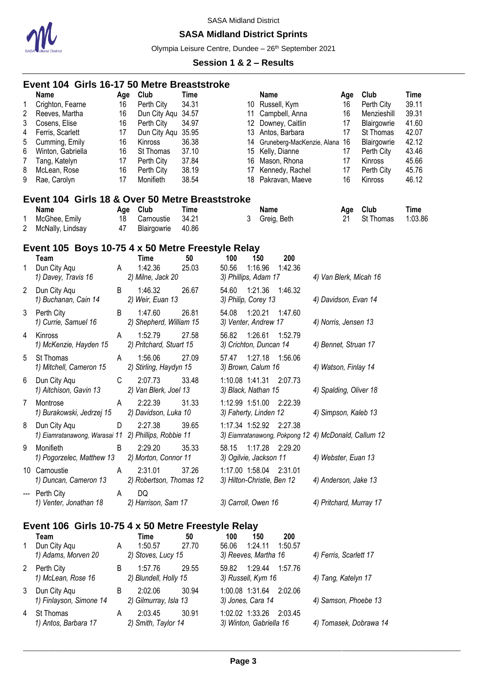

## **SASA Midland District Sprints**

Olympia Leisure Centre, Dundee - 26<sup>th</sup> September 2021

|                                           | Event 104 Girls 16-17 50 Metre Breaststroke                                                                                                                                    |                                                           |                                                                                                                                               |                                                                            |                                               |             |                                                                                                                                                                                         |                         |                                                           |                                                                                                                                |                                                                                              |
|-------------------------------------------|--------------------------------------------------------------------------------------------------------------------------------------------------------------------------------|-----------------------------------------------------------|-----------------------------------------------------------------------------------------------------------------------------------------------|----------------------------------------------------------------------------|-----------------------------------------------|-------------|-----------------------------------------------------------------------------------------------------------------------------------------------------------------------------------------|-------------------------|-----------------------------------------------------------|--------------------------------------------------------------------------------------------------------------------------------|----------------------------------------------------------------------------------------------|
| 1<br>2<br>3<br>4<br>5<br>6<br>7<br>8<br>9 | <b>Name</b><br>Crighton, Fearne<br>Reeves, Martha<br>Cosens, Elise<br>Ferris, Scarlett<br>Cumming, Emily<br>Winton, Gabriella<br>Tang, Katelyn<br>McLean, Rose<br>Rae, Carolyn | Age<br>16<br>16<br>16<br>17<br>16<br>16<br>17<br>16<br>17 | Club<br>Perth City<br>Dun City Aqu 34.57<br>Perth City<br>Dun City Aqu 35.95<br>Kinross<br>St Thomas<br>Perth City<br>Perth City<br>Monifieth | <b>Time</b><br>34.31<br>34.97<br>36.38<br>37.10<br>37.84<br>38.19<br>38.54 | 11<br>15<br>16<br>17                          | Name        | 10 Russell, Kym<br>Campbell, Anna<br>12 Downey, Caitlin<br>13 Antos, Barbara<br>14 Gruneberg-MacKenzie, Alana<br>Kelly, Dianne<br>Mason, Rhona<br>Kennedy, Rachel<br>18 Pakravan, Maeve |                         | Age<br>16<br>16<br>17<br>17<br>16<br>17<br>17<br>17<br>16 | Club<br>Perth City<br>Menzieshill<br>Blairgowrie<br>St Thomas<br>Blairgowrie<br>Perth City<br>Kinross<br>Perth City<br>Kinross | <b>Time</b><br>39.11<br>39.31<br>41.60<br>42.07<br>42.12<br>43.46<br>45.66<br>45.76<br>46.12 |
|                                           | Event 104 Girls 18 & Over 50 Metre Breaststroke<br><b>Name</b>                                                                                                                 | Age                                                       | Club                                                                                                                                          | <b>Time</b>                                                                |                                               | <b>Name</b> |                                                                                                                                                                                         |                         | Age                                                       | Club                                                                                                                           | <b>Time</b>                                                                                  |
| 1<br>2                                    | McGhee, Emily<br>McNally, Lindsay                                                                                                                                              | 18<br>47                                                  | Carnoustie<br>Blairgowrie                                                                                                                     | 34.21<br>40.86                                                             | 3                                             |             | Greig, Beth                                                                                                                                                                             |                         | 21                                                        | St Thomas                                                                                                                      | 1:03.86                                                                                      |
|                                           | Event 105 Boys 10-75 4 x 50 Metre Freestyle Relay                                                                                                                              |                                                           |                                                                                                                                               |                                                                            |                                               |             |                                                                                                                                                                                         |                         |                                                           |                                                                                                                                |                                                                                              |
|                                           | <b>Team</b>                                                                                                                                                                    |                                                           | Time                                                                                                                                          | 50                                                                         | 100                                           | 150         | 200                                                                                                                                                                                     |                         |                                                           |                                                                                                                                |                                                                                              |
| 1                                         | Dun City Aqu<br>1) Davey, Travis 16                                                                                                                                            | A                                                         | 1:42.36<br>2) Milne, Jack 20                                                                                                                  | 25.03                                                                      | 50.56<br>3) Phillips, Adam 17                 | 1:16.96     | 1:42.36                                                                                                                                                                                 | 4) Van Blerk, Micah 16  |                                                           |                                                                                                                                |                                                                                              |
| 2                                         | Dun City Aqu<br>1) Buchanan, Cain 14                                                                                                                                           | B                                                         | 1:46.32<br>2) Weir, Euan 13                                                                                                                   | 26.67                                                                      | 54.60<br>3) Philip, Corey 13                  | 1:21.36     | 1:46.32                                                                                                                                                                                 | 4) Davidson, Evan 14    |                                                           |                                                                                                                                |                                                                                              |
| 3                                         | Perth City<br>1) Currie, Samuel 16                                                                                                                                             | B                                                         | 1:47.60<br>2) Shepherd, William 15                                                                                                            | 26.81                                                                      | 54.08<br>3) Venter, Andrew 17                 | 1:20.21     | 1:47.60                                                                                                                                                                                 | 4) Norris, Jensen 13    |                                                           |                                                                                                                                |                                                                                              |
| 4                                         | Kinross<br>1) McKenzie, Hayden 15                                                                                                                                              | A                                                         | 1:52.79<br>2) Pritchard, Stuart 15                                                                                                            | 27.58                                                                      | 56.82<br>3) Crichton, Duncan 14               | 1:26.61     | 1:52.79                                                                                                                                                                                 | 4) Bennet, Struan 17    |                                                           |                                                                                                                                |                                                                                              |
| 5                                         | St Thomas<br>1) Mitchell, Cameron 15                                                                                                                                           | A                                                         | 1:56.06<br>2) Stirling, Haydyn 15                                                                                                             | 27.09                                                                      | 57.47<br>3) Brown, Calum 16                   | 1:27.18     | 1:56.06                                                                                                                                                                                 | 4) Watson, Finlay 14    |                                                           |                                                                                                                                |                                                                                              |
| 6                                         | Dun City Aqu<br>1) Aitchison, Gavin 13                                                                                                                                         | C                                                         | 2:07.73<br>2) Van Blerk, Joel 13                                                                                                              | 33.48                                                                      | 1:10.08 1:41.31<br>3) Black, Nathan 15        |             | 2:07.73                                                                                                                                                                                 | 4) Spalding, Oliver 18  |                                                           |                                                                                                                                |                                                                                              |
| 7                                         | Montrose<br>1) Burakowski, Jedrzej 15                                                                                                                                          | A                                                         | 2:22.39<br>2) Davidson, Luka 10                                                                                                               | 31.33                                                                      | 1:12.99 1:51.00<br>3) Faherty, Linden 12      |             | 2:22.39                                                                                                                                                                                 | 4) Simpson, Kaleb 13    |                                                           |                                                                                                                                |                                                                                              |
| 8                                         | Dun City Aqu<br>1) Eiamratanawong, Warasai 11 2) Phillips, Robbie 11                                                                                                           | D                                                         | 2:27.38                                                                                                                                       | 39.65                                                                      | 1:17.34 1:52.92                               |             | 2:27.38<br>3) Eiamratanawong, Pokpong 12 4) McDonald, Callum 12                                                                                                                         |                         |                                                           |                                                                                                                                |                                                                                              |
| 9                                         | Monifieth<br>1) Pogorzelec, Matthew 13                                                                                                                                         | B                                                         | 2:29.20<br>2) Morton, Connor 11                                                                                                               | 35.33                                                                      | 58.15<br>3) Ogilvie, Jackson 11               | 1:17.28     | 2:29.20                                                                                                                                                                                 | 4) Webster, Euan 13     |                                                           |                                                                                                                                |                                                                                              |
|                                           | 10 Carnoustie<br>1) Duncan, Cameron 13                                                                                                                                         | A                                                         | 2:31.01<br>2) Robertson, Thomas 12                                                                                                            | 37.26                                                                      | 1:17.00 1:58.04<br>3) Hilton-Christie, Ben 12 |             | 2:31.01                                                                                                                                                                                 | 4) Anderson, Jake 13    |                                                           |                                                                                                                                |                                                                                              |
| ---                                       | Perth City<br>1) Venter, Jonathan 18                                                                                                                                           | A                                                         | DQ<br>2) Harrison, Sam 17                                                                                                                     |                                                                            | 3) Carroll, Owen 16                           |             |                                                                                                                                                                                         | 4) Pritchard, Murray 17 |                                                           |                                                                                                                                |                                                                                              |
|                                           | Event 106 Girls 10-75 4 x 50 Metre Freestyle Relay<br><b>Team</b>                                                                                                              |                                                           | Time                                                                                                                                          | 50                                                                         | 100                                           | 150         | 200                                                                                                                                                                                     |                         |                                                           |                                                                                                                                |                                                                                              |

|              | 1 GAI I I                               |   | $\blacksquare$                   | υv    | 1 V V<br>טעו<br>LUU                                   |                        |
|--------------|-----------------------------------------|---|----------------------------------|-------|-------------------------------------------------------|------------------------|
| $\mathbf{1}$ | Dun City Aqu                            | A | 1:50.57                          | 27.70 | 1:24.11<br>56.06<br>1:50.57                           |                        |
|              | 1) Adams, Morven 20                     |   | 2) Stoves, Lucy 15               |       | 3) Reeves, Martha 16                                  | 4) Ferris, Scarlett 17 |
| 2            | Perth City<br>1) McLean, Rose 16        | B | 1:57.76<br>2) Blundell, Holly 15 | 29.55 | 1:29.44<br>1:57.76<br>59.82<br>3) Russell, Kym 16     | 4) Tang, Katelyn 17    |
| 3            | Dun City Aqu<br>1) Finlayson, Simone 14 | B | 2:02.06<br>2) Gilmurray, Isla 13 | 30.94 | 1:00.08 1:31.64<br>2:02.06<br>3) Jones, Cara 14       | 4) Samson, Phoebe 13   |
| 4            | St Thomas<br>1) Antos, Barbara 17       | A | 2:03.45<br>2) Smith, Taylor 14   | 30.91 | 1:02.02 1:33.26<br>2:03.45<br>3) Winton, Gabriella 16 | 4) Tomasek, Dobrawa 14 |
|              |                                         |   |                                  |       |                                                       |                        |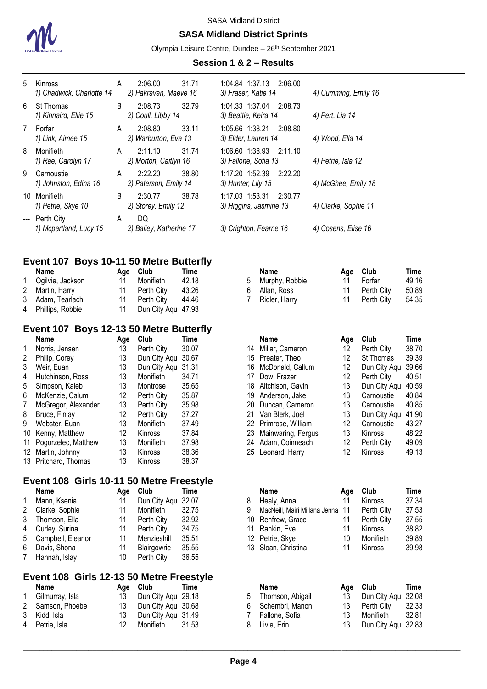

## **SASA Midland District Sprints**

Olympia Leisure Centre, Dundee - 26<sup>th</sup> September 2021

#### **Session 1 & 2 – Results**

| 5      | Kinross<br>1) Chadwick, Charlotte 14    | A        | 2:06.00<br>2) Pakravan, Maeve 16 | 31.71 | 1:04.84 1:37.13<br>3) Fraser, Katie 14          |             | 2:06.00        | 4) Cumming, Emily 16 |     |            |       |
|--------|-----------------------------------------|----------|----------------------------------|-------|-------------------------------------------------|-------------|----------------|----------------------|-----|------------|-------|
| 6      | St Thomas<br>1) Kinnaird, Ellie 15      | B        | 2:08.73<br>2) Coull, Libby 14    | 32.79 | 1:04.33 1:37.04 2:08.73<br>3) Beattie, Keira 14 |             |                | 4) Pert, Lia 14      |     |            |       |
| 7      | Forfar<br>1) Link, Aimee 15             | A        | 2:08.80<br>2) Warburton, Eva 13  | 33.11 | 1:05.66 1:38.21 2:08.80<br>3) Elder, Lauren 14  |             |                | 4) Wood, Ella 14     |     |            |       |
| 8      | Monifieth<br>1) Rae, Carolyn 17         | A        | 2:11.10<br>2) Morton, Caitlyn 16 | 31.74 | 1:06.60 1:38.93 2:11.10<br>3) Fallone, Sofia 13 |             |                | 4) Petrie, Isla 12   |     |            |       |
| 9      | Carnoustie<br>1) Johnston, Edina 16     | A        | 2:22.20<br>2) Paterson, Emily 14 | 38.80 | 1:17.20 1:52.39 2:22.20<br>3) Hunter, Lily 15   |             |                | 4) McGhee, Emily 18  |     |            |       |
| 10     | Monifieth<br>1) Petrie, Skye 10         | B        | 2:30.77<br>2) Storey, Emily 12   | 38.78 | 1:17.03 1:53.31<br>3) Higgins, Jasmine 13       |             | 2:30.77        | 4) Clarke, Sophie 11 |     |            |       |
|        | Perth City<br>1) Mcpartland, Lucy 15    | A        | DQ<br>2) Bailey, Katherine 17    |       | 3) Crighton, Fearne 16                          |             |                | 4) Cosens, Elise 16  |     |            |       |
|        | Event 107 Boys 10-11 50 Metre Butterfly |          |                                  |       |                                                 |             |                |                      |     |            |       |
|        | Name                                    |          | Club<br>Age                      | Time  |                                                 | <b>Name</b> |                |                      | Age | Club       | Time  |
| 1      | Ogilvie, Jackson                        | 11       | Monifieth                        | 42.18 | 5                                               |             | Murphy, Robbie |                      | 11  | Forfar     | 49.16 |
| 2      | Martin, Harry                           | 11       | Perth City                       | 43.26 | 6                                               | Allan, Ross |                |                      | 11  | Perth City | 50.89 |
| 3<br>4 | Adam, Tearlach<br>Phillips, Robbie      | 11<br>11 | Perth City<br>Dun City Aqu 47.93 | 44.46 |                                                 |             | Ridler, Harry  |                      | 11  | Perth City | 54.35 |
|        | Event 107 Boys 12-13 50 Metre Butterfly |          |                                  |       |                                                 |             |                |                      |     |            |       |

|    | Name                | Age               | Club         | Time  |
|----|---------------------|-------------------|--------------|-------|
| 1  | Norris, Jensen      | 13                | Perth City   | 30.07 |
| 2  | Philip, Corey       | 13                | Dun City Aqu | 30.67 |
| 3  | Weir, Euan          | 13                | Dun City Aqu | 31.31 |
| 4  | Hutchinson, Ross    | 13                | Monifieth    | 34.71 |
| 5  | Simpson, Kaleb      | 13                | Montrose     | 35.65 |
| 6  | McKenzie, Calum     | 12                | Perth City   | 35.87 |
| 7  | McGregor, Alexander | 13                | Perth City   | 35.98 |
| 8  | Bruce, Finlay       | $12 \overline{ }$ | Perth City   | 37.27 |
| 9  | Webster, Euan       | 13                | Monifieth    | 37.49 |
| 10 | Kenny, Matthew      | 12                | Kinross      | 37.84 |
| 11 | Pogorzelec, Matthew | 13                | Monifieth    | 37.98 |
| 12 | Martin, Johnny      | 13                | Kinross      | 38.36 |
| 13 | Pritchard, Thomas   | 13                | Kinross      | 38.37 |

# **Event 108 Girls 10-11 50 Metre Freestyle**

|   | <b>Name</b>       | Age | Club         | Time  |
|---|-------------------|-----|--------------|-------|
| 1 | Mann, Ksenia      | 11  | Dun City Aqu | 32.07 |
| 2 | Clarke, Sophie    | 11  | Monifieth    | 32.75 |
| 3 | Thomson, Ella     | 11  | Perth City   | 32.92 |
| 4 | Curley, Surina    | 11  | Perth City   | 34.75 |
| 5 | Campbell, Eleanor | 11  | Menzieshill  | 35.51 |
| 6 | Davis, Shona      | 11  | Blairgowrie  | 35.55 |
| 7 | Hannah, Islay     | 10  | Perth City   | 36.55 |
|   |                   |     |              |       |

# **Event 108 Girls 12-13 50 Metre Freestyle**

| Name              |     | Age Club           | Time |
|-------------------|-----|--------------------|------|
| 1 Gilmurray, Isla | 13  | Dun City Agu 29.18 |      |
| 2 Samson, Phoebe  | 13  | Dun City Aqu 30.68 |      |
| 3 Kidd, Isla      | 13  | Dun City Aqu 31.49 |      |
| 4 Petrie, Isla    | 12. | Monifieth 31.53    |      |

| Name<br>Club<br><b>Name</b><br>Club<br>Time<br>Age<br>Aqe                                 | Time                  |
|-------------------------------------------------------------------------------------------|-----------------------|
| Norris, Jensen<br>13<br>Perth City<br>30.07<br>12<br>Millar, Cameron<br>14                | 38.70<br>Perth City   |
| 13<br>Philip, Corey<br>Dun City Aqu<br>12<br>30.67<br>Preater, Theo<br>15                 | 39.39<br>St Thomas    |
| Weir, Euan<br>13<br>Dun City Aqu<br>12<br>McDonald, Callum<br>31.31<br>16                 | 39.66<br>Dun City Aqu |
| Hutchinson, Ross<br>13<br>Monifieth<br>12<br>34.71<br>Dow, Frazer<br>17                   | 40.51<br>Perth City   |
| 13<br>13<br>35.65<br>Simpson, Kaleb<br>Aitchison, Gavin<br>Montrose<br>18                 | Dun City Agu<br>40.59 |
| 12<br>13<br>35.87<br>McKenzie, Calum<br>Perth City<br>Anderson, Jake<br>19                | 40.84<br>Carnoustie   |
| 13<br>35.98<br>13<br>McGregor, Alexander<br>Perth City<br>20 Duncan, Cameron              | 40.85<br>Carnoustie   |
| 13<br>Bruce, Finlay<br>12<br>37.27<br>Perth City<br>Van Blerk, Joel<br>21                 | Dun City Agu<br>41.90 |
| 13<br>Monifieth<br>12<br>Webster, Euan<br>37.49<br>22 Primrose, William                   | 43.27<br>Carnoustie   |
| 13<br>12<br>37.84<br>Kenny, Matthew<br>Mainwaring, Fergus<br>Kinross<br>Kinross<br>23.    | 48.22                 |
| 13<br>37.98<br>Adam, Coinneach<br>Pogorzelec, Matthew<br><b>Monifieth</b><br>12<br>24     | 49.09<br>Perth City   |
| 13<br>38.36<br>12<br>Martin, Johnny<br><b>Kinross</b><br>Kinross<br>25.<br>Leonard, Harry | 49.13                 |

| Name              | Aae | Club               | Time  | <b>Name</b>                      | Aae | Club           | Time  |
|-------------------|-----|--------------------|-------|----------------------------------|-----|----------------|-------|
| Mann, Ksenia      | 11  | Dun City Aqu 32.07 |       | Healy, Anna                      |     | <b>Kinross</b> | 37.34 |
| Clarke, Sophie    | 11  | Monifieth          | 32.75 | MacNeill, Mairi Millana Jenna 11 |     | Perth City     | 37.53 |
| Thomson, Ella     | 11  | Perth City         | 32.92 | 10 Renfrew, Grace                |     | Perth City     | 37.55 |
| Curley, Surina    | 11  | Perth City         | 34.75 | 11 Rankin, Eve                   |     | Kinross        | 38.82 |
| Campbell, Eleanor | 11  | Menzieshill        | 35.51 | 12 Petrie, Skye                  | 10  | Monifieth      | 39.89 |
| Davis, Shona      | 11  | Blairgowrie        | 35.55 | 13 Sloan, Christina              |     | Kinross        | 39.98 |
|                   |     |                    |       |                                  |     |                |       |

| Name            |     | Age Club              | Time  |   | <b>Name</b>       |     | Age Club           | Time  |
|-----------------|-----|-----------------------|-------|---|-------------------|-----|--------------------|-------|
| Gilmurray, Isla | 13  | Dun City Aqu 29.18    |       | 5 | Thomson, Abigail  | 13  | Dun City Agu 32.08 |       |
| Samson, Phoebe  |     | 13 Dun City Agu 30.68 |       |   | 6 Schembri, Manon | 13  | Perth City         | 32.33 |
| Kidd, Isla      | 13. | Dun City Agu 31.49    |       |   | 7 Fallone, Sofia  | 13. | Monifieth          | 32.81 |
| Petrie, Isla    | 12  | Monifieth             | 31.53 |   | 8 Livie, Erin     | 13  | Dun City Agu 32.83 |       |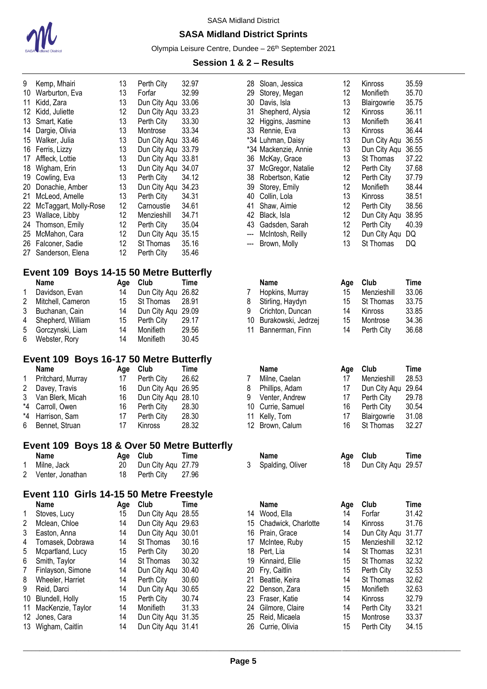

## **SASA Midland District Sprints**

Olympia Leisure Centre, Dundee - 26<sup>th</sup> September 2021

#### **Session 1 & 2 – Results**

| 9  | Kemp, Mhairi          | 13  | Perth City   | 32.97 |
|----|-----------------------|-----|--------------|-------|
| 10 | Warburton, Eva        | 13  | Forfar       | 32.99 |
| 11 | Kidd, Zara            | 13  | Dun City Aqu | 33.06 |
| 12 | Kidd, Juliette        | 12  | Dun City Aqu | 33.23 |
| 13 | Smart, Katie          | 13  | Perth City   | 33.30 |
| 14 | Dargie, Olivia        | 13  | Montrose     | 33.34 |
| 15 | Walker, Julia         | 13  | Dun City Aqu | 33.46 |
| 16 | Ferris, Lizzy         | 13  | Dun City Aqu | 33.79 |
| 17 | Affleck, Lottie       | 13  | Dun City Aqu | 33.81 |
| 18 | Wigham, Erin          | 13  | Dun City Aqu | 34.07 |
| 19 | Cowling, Eva          | 13  | Perth City   | 34.12 |
| 20 | Donachie, Amber       | 13  | Dun City Aqu | 34.23 |
| 21 | McLeod, Amelle        | 13  | Perth City   | 34.31 |
| 22 | McTaggart, Molly-Rose | 12  | Carnoustie   | 34.61 |
| 23 | Wallace, Libby        | 12  | Menzieshill  | 34.71 |
| 24 | Thomson, Emily        | 12  | Perth City   | 35.04 |
| 25 | McMahon, Cara         | 12  | Dun City Aqu | 35.15 |
| 26 | Falconer, Sadie       | 12. | St Thomas    | 35.16 |
| 27 | Sanderson, Elena      | 12  | Perth City   | 35.46 |

## **Event 109 Boys 14-15 50 Metre Butterfly**

|   | <b>Name</b>       | Age | Club               | Time  |
|---|-------------------|-----|--------------------|-------|
|   | Davidson, Evan    | 14  | Dun City Aqu 26.82 |       |
| 2 | Mitchell, Cameron | 15  | St Thomas          | 28.91 |
| 3 | Buchanan, Cain    | 14  | Dun City Agu 29.09 |       |
| 4 | Shepherd, William | 15  | Perth City         | 29.17 |
| 5 | Gorczynski, Liam  | 14  | Monifieth          | 29.56 |
| 6 | Webster, Rory     | 14  | Monifieth          | 30.45 |

## **Event 109 Boys 16-17 50 Metre Butterfly**

|              | <b>Name</b>        | Age | Club               | Time  |
|--------------|--------------------|-----|--------------------|-------|
| $\mathbf{1}$ | Pritchard, Murray  | 17  | Perth City         | 26.62 |
| $\mathbf{2}$ | Davey, Travis      | 16  | Dun City Aqu 26.95 |       |
|              | 3 Van Blerk, Micah | 16  | Dun City Agu 28.10 |       |
|              | *4 Carroll, Owen   | 16  | Perth City         | 28.30 |
|              | *4 Harrison, Sam   | 17  | Perth City         | 28.30 |
| 6            | Bennet, Struan     | 17  | Kinross            | 28.32 |

## **Event 109 Boys 18 & Over 50 Metre Butterfly**

| Name               | Age Club              | Time |
|--------------------|-----------------------|------|
| 1 Milne, Jack      | 20 Dun City Aqu 27.79 |      |
| 2 Venter, Jonathan | 18 Perth City 27.96   |      |

## **Event 110 Girls 14-15 50 Metre Freestyle**

| Name              | Age | Club         | <b>Time</b> |
|-------------------|-----|--------------|-------------|
| Stoves, Lucy      | 15  | Dun City Aqu | 28.55       |
| Mclean, Chloe     | 14  | Dun City Aqu | 29.63       |
| Easton, Anna      | 14  | Dun City Aqu | 30.01       |
| Tomasek, Dobrawa  | 14  | St Thomas    | 30.16       |
| Mcpartland, Lucy  | 15  | Perth City   | 30.20       |
| Smith, Taylor     | 14  | St Thomas    | 30.32       |
| Finlayson, Simone | 14  | Dun City Aqu | 30.40       |
| Wheeler, Harriet  | 14  | Perth City   | 30.60       |
| Reid, Darci       | 14  | Dun City Aqu | 30.65       |
| Blundell, Holly   | 15  | Perth City   | 30.74       |
| MacKenzie, Taylor | 14  | Monifieth    | 31.33       |
| Jones, Cara       | 14  | Dun City Aqu | 31.35       |
| Wigham, Caitlin   | 14  | Dun City Aqu | 31.41       |
|                   |     |              |             |

| Kemp, Mhairi                              | 13  | Perth City         | 32.97       | 28  | Sloan, Jessica       | 12       | Kinross            | 35.59       |
|-------------------------------------------|-----|--------------------|-------------|-----|----------------------|----------|--------------------|-------------|
| Warburton, Eva                            | 13  | Forfar             | 32.99       | 29  | Storey, Megan        | 12       | Monifieth          | 35.70       |
| Kidd, Zara                                | 13  | Dun City Aqu       | 33.06       | 30  | Davis, Isla          | 13       | Blairgowrie        | 35.75       |
| Kidd, Juliette                            | 12  | Dun City Aqu       | 33.23       | 31  | Shepherd, Alysia     | 12       | Kinross            | 36.11       |
| Smart, Katie                              | 13  | Perth City         | 33.30       | 32  | Higgins, Jasmine     | 13       | Monifieth          | 36.41       |
| Dargie, Olivia                            | 13  | Montrose           | 33.34       | 33  | Rennie, Eva          | 13       | Kinross            | 36.44       |
| Walker, Julia                             | 13  | Dun City Aqu       | 33.46       |     | *34 Luhman, Daisy    | 13       | Dun City Aqu       | 36.55       |
| Ferris, Lizzy                             | 13  | Dun City Aqu 33.79 |             |     | *34 Mackenzie, Annie | 13       | Dun City Aqu       | 36.55       |
| Affleck, Lottie                           | 13  | Dun City Agu       | 33.81       | 36  | McKay, Grace         | 13       | St Thomas          | 37.22       |
| Wigham, Erin                              | 13  | Dun City Aqu       | 34.07       | 37  | McGregor, Natalie    | 12       | Perth City         | 37.68       |
| Cowling, Eva                              | 13  | Perth City         | 34.12       | 38  | Robertson, Katie     | 12       | Perth City         | 37.79       |
| Donachie, Amber                           | 13  | Dun City Aqu       | 34.23       | 39  | Storey, Emily        | 12       | Monifieth          | 38.44       |
| McLeod, Amelle                            | 13  | Perth City         | 34.31       | 40  | Collin, Lola         | 13       | Kinross            | 38.51       |
| McTaggart, Molly-Rose                     | 12  | Carnoustie         | 34.61       | 41  | Shaw, Aimie          | 12       | Perth City         | 38.56       |
| Wallace, Libby                            | 12  | Menzieshill        | 34.71       | 42  | Black, Isla          | 12       | Dun City Aqu       | 38.95       |
| Thomson, Emily                            | 12  | Perth City         | 35.04       | 43  | Gadsden, Sarah       | 12       | Perth City         | 40.39       |
| McMahon, Cara                             | 12  | Dun City Aqu       | 35.15       | --- | McIntosh, Reilly     | 12       | Dun City Aqu       | DQ          |
| Falconer, Sadie                           | 12  | St Thomas          | 35.16       | --- | Brown, Molly         | 13       | St Thomas          | DQ          |
| Sanderson, Elena                          | 12  | Perth City         | 35.46       |     |                      |          |                    |             |
| ent 109 Boys 14-15 50 Metre Butterfly     |     |                    |             |     |                      |          |                    |             |
| Name                                      | Age | Club               | <b>Time</b> |     | <b>Name</b>          | Age      | Club               | <b>Time</b> |
| Davidson, Evan                            | 14  | Dun City Aqu       | 26.82       | 7   | Hopkins, Murray      | 15       | Menzieshill        | 33.06       |
| Mitchell, Cameron                         | 15  | St Thomas          | 28.91       | 8   | Stirling, Haydyn     | 15       | St Thomas          | 33.75       |
| Buchanan, Cain                            | 14  | Dun City Aqu       | 29.09       | 9   | Crichton, Duncan     | 14       | Kinross            | 33.85       |
| Shepherd, William                         | 15  | Perth City         | 29.17       | 10  | Burakowski, Jedrzej  | 15       | Montrose           | 34.36       |
| Gorczynski, Liam                          | 14  | Monifieth          | 29.56       | 11  | Bannerman, Finn      | 14       | Perth City         | 36.68       |
| Webster, Rory                             | 14  | Monifieth          | 30.45       |     |                      |          |                    |             |
|                                           |     |                    |             |     |                      |          |                    |             |
| ent 109  Boys 16-17 50 Metre Butterfly    |     |                    |             |     |                      |          |                    |             |
| Name                                      | Age | Club               | Time        |     | <b>Name</b>          | Age      | Club               | <b>Time</b> |
| Pritchard, Murray                         | 17  | Perth City         | 26.62       | 7   | Milne, Caelan        | 17       | Menzieshill        | 28.53       |
| Davey, Travis                             | 16  | Dun City Aqu       | 26.95       | 8   | Phillips, Adam       | 17       | Dun City Aqu       | 29.64       |
| Van Blerk, Micah                          | 16  | Dun City Aqu       | 28.10       | 9   | Venter, Andrew       | 17       | Perth City         | 29.78       |
| Carroll, Owen                             | 16  | Perth City         | 28.30       | 10  | Currie, Samuel       | 16       | Perth City         | 30.54       |
| Harrison, Sam                             | 17  | Perth City         | 28.30       | 11  | Kelly, Tom           | 17       | Blairgowrie        | 31.08       |
| Bennet, Struan                            | 17  | Kinross            | 28.32       | 12  | Brown, Calum         | 16       | St Thomas          | 32.27       |
| ent 109 Boys 18 & Over 50 Metre Butterfly |     |                    |             |     |                      |          |                    |             |
| Name                                      | Age | Club               | <b>Time</b> |     | Name                 | Age      | Club               | Time        |
| Milne, Jack                               | 20  | Dun City Aqu       | 27.79       | 3   | Spalding, Oliver     | 18       | Dun City Aqu 29.57 |             |
| Venter, Jonathan                          | 18  | Perth City         | 27.96       |     |                      |          |                    |             |
| ent 110  Girls 14-15 50 Metre Freestyle   |     |                    |             |     |                      |          |                    |             |
| Name                                      | Age | Club               | Time        |     | Name                 | Age      | Club               | <b>Time</b> |
| Stoves, Lucy                              | 15  | Dun City Aqu 28.55 |             |     | 14 Wood, Ella        | 14       | Forfar             | 31.42       |
| Mclean, Chloe                             | 14  | Dun City Aqu 29.63 |             | 15  | Chadwick, Charlotte  | 14       | Kinross            | 31.76       |
| Easton, Anna                              | 14  | Dun City Aqu 30.01 |             |     | 16 Prain, Grace      | 14       | Dun City Aqu       | 31.77       |
| Tomasek, Dobrawa                          | 14  | St Thomas          | 30.16       | 17  | McIntee, Ruby        | 15       | Menzieshill        | 32.12       |
| Mcpartland, Lucy                          | 15  | Perth City         | 30.20       | 18  | Pert, Lia            | 14       | St Thomas          | 32.31       |
| Smith, Taylor                             | 14  | St Thomas          | 30.32       | 19  | Kinnaird, Ellie      | 15       | St Thomas          | 32.32       |
| Finlayson, Simone                         | 14  | Dun City Aqu       | 30.40       | 20  | Fry, Caitlin         | 15       | Perth City         | 32.53       |
| Wheeler, Harriet                          | 14  | Perth City         | 30.60       | 21  | Beattie, Keira       | 14       | St Thomas          | 32.62       |
| Reid, Darci                               | 14  | Dun City Aqu       | 30.65       |     | 22 Denson, Zara      | 15       | Monifieth          | 32.63       |
|                                           | 15  | Perth City         | 30.74       |     | 23 Fraser, Katie     | 14       | Kinross            | 32.79       |
| Blundell, Holly                           | 14  | Monifieth          | 31.33       |     | 24 Gilmore, Claire   |          |                    | 33.21       |
| MacKenzie, Taylor                         |     |                    |             |     |                      | 14       | Perth City         | 33.37       |
| Jones, Cara                               | 14  | Dun City Aqu 31.35 |             |     | 25 Reid, Micaela     | 15<br>15 | Montrose           |             |
| Wigham, Caitlin                           | 14  | Dun City Aqu 31.41 |             |     | 26 Currie, Olivia    |          | Perth City         | 34.15       |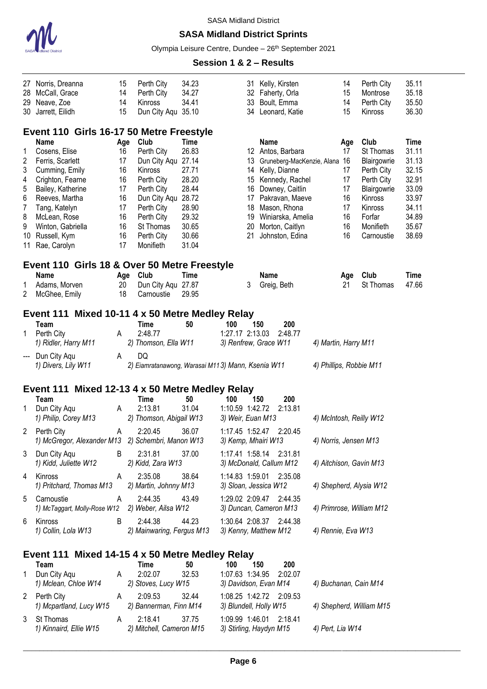

#### **SASA Midland District Sprints**

Olympia Leisure Centre, Dundee - 26<sup>th</sup> September 2021

#### **Session 1 & 2 – Results**

| 27                       | Norris, Dreanna                                   | 15  | Perth City                                        | 34.23       | 31                      |             | Kelly, Kirsten                |                         | 14  | Perth City               | 35.11       |
|--------------------------|---------------------------------------------------|-----|---------------------------------------------------|-------------|-------------------------|-------------|-------------------------------|-------------------------|-----|--------------------------|-------------|
| 28                       | McCall, Grace                                     | 14  | Perth City                                        | 34.27       | 32                      |             | Faherty, Orla                 |                         | 15  | Montrose                 | 35.18       |
| 29                       | Neave, Zoe                                        | 14  | Kinross                                           | 34.41       | 33                      |             | Boult, Emma                   |                         | 14  | Perth City               | 35.50       |
| 30                       | Jarrett, Eilidh                                   | 15  | Dun City Aqu 35.10                                |             |                         |             | 34 Leonard, Katie             |                         | 15  | Kinross                  | 36.30       |
|                          | Event 110 Girls 16-17 50 Metre Freestyle          |     |                                                   |             |                         |             |                               |                         |     |                          |             |
|                          | Name                                              | Age | Club                                              | <b>Time</b> |                         | <b>Name</b> |                               |                         | Age | Club                     | <b>Time</b> |
| 1                        | Cosens, Elise                                     | 16  | Perth City                                        | 26.83       |                         |             | 12 Antos, Barbara             |                         | 17  | St Thomas                | 31.11       |
| 2                        | Ferris, Scarlett                                  | 17  | Dun City Aqu                                      | 27.14       | 13                      |             | Gruneberg-MacKenzie, Alana 16 |                         |     | Blairgowrie              | 31.13       |
| 3                        | Cumming, Emily                                    | 16  | Kinross                                           | 27.71       | 14                      |             | Kelly, Dianne                 |                         | 17  | Perth City               | 32.15       |
| 4                        | Crighton, Fearne                                  | 16  | Perth City                                        | 28.20       | 15                      |             | Kennedy, Rachel               |                         | 17  | Perth City               | 32.91       |
| 5                        | Bailey, Katherine                                 | 17  | Perth City                                        | 28.44       | 16                      |             | Downey, Caitlin               |                         | 17  | Blairgowrie              | 33.09       |
| 6                        | Reeves, Martha                                    | 16  | Dun City Aqu                                      | 28.72       | 17                      |             | Pakravan, Maeve               |                         | 16  | Kinross                  | 33.97       |
| 7                        | Tang, Katelyn                                     | 17  | Perth City                                        | 28.90       |                         |             | 18 Mason, Rhona               |                         | 17  | Kinross                  | 34.11       |
| 8                        | McLean, Rose                                      | 16  | Perth City                                        | 29.32       | 19                      |             | Winiarska, Amelia             |                         | 16  | Forfar                   | 34.89       |
| 9                        | Winton, Gabriella                                 | 16  | St Thomas                                         | 30.65       | 20                      |             | Morton, Caitlyn               |                         | 16  | Monifieth                | 35.67       |
| 10                       | Russell, Kym                                      | 16  | Perth City                                        | 30.66       | 21                      |             | Johnston, Edina               |                         | 16  | Carnoustie               | 38.69       |
| 11                       | Rae, Carolyn                                      | 17  | Monifieth                                         | 31.04       |                         |             |                               |                         |     |                          |             |
|                          | Event 110 Girls 18 & Over 50 Metre Freestyle      |     |                                                   |             |                         |             |                               |                         |     |                          |             |
|                          | <b>Name</b>                                       |     | Age Club                                          | <b>Time</b> |                         | <b>Name</b> |                               |                         | Age | Club                     | Time        |
| 1                        | Adams, Morven                                     | 20  | Dun City Aqu 27.87                                |             | 3                       | Greig, Beth |                               |                         | 21  | St Thomas                | 47.66       |
| $\overline{2}$           | McGhee, Emily                                     | 18  | Carnoustie                                        | 29.95       |                         |             |                               |                         |     |                          |             |
|                          | Event 111 Mixed 10-11 4 x 50 Metre Medley Relay   |     |                                                   |             |                         |             |                               |                         |     |                          |             |
|                          | Team                                              |     | Time                                              | 50          | 100                     | 150         | 200                           |                         |     |                          |             |
| 1                        | Perth City                                        | A   | 2:48.77                                           |             | 1:27.17 2:13.03         |             | 2:48.77                       |                         |     |                          |             |
|                          | 1) Ridler, Harry M11                              |     | 2) Thomson, Ella W11                              |             | 3) Renfrew, Grace W11   |             |                               | 4) Martin, Harry M11    |     |                          |             |
| $\hspace{0.05cm} \ldots$ | Dun City Aqu                                      | A   | DQ                                                |             |                         |             |                               |                         |     |                          |             |
|                          | 1) Divers, Lily W11                               |     | 2) Eiamratanawong, Warasai M113) Mann, Ksenia W11 |             |                         |             |                               | 4) Phillips, Robbie M11 |     |                          |             |
|                          | Event 111 Mixed 12-13 4 x 50 Metre Medley Relay   |     |                                                   |             |                         |             |                               |                         |     |                          |             |
|                          | Team                                              |     | <b>Time</b>                                       | 50          | 100                     | 150         | 200                           |                         |     |                          |             |
| 1                        | Dun City Aqu                                      | A   | 2:13.81                                           | 31.04       | 1:10.59 1:42.72         |             | 2:13.81                       |                         |     |                          |             |
|                          | 1) Philip, Corey M13                              |     | 2) Thomson, Abigail W13                           |             | 3) Weir, Euan M13       |             |                               | 4) McIntosh, Reilly W12 |     |                          |             |
|                          |                                                   |     |                                                   |             |                         |             |                               |                         |     |                          |             |
| 2                        | Perth City                                        | A   | 2:20.45                                           | 36.07       | 1:17.45 1:52.47         |             | 2:20.45                       |                         |     |                          |             |
|                          | 1) McGregor, Alexander M13 2) Schembri, Manon W13 |     |                                                   |             | 3) Kemp, Mhairi W13     |             |                               | 4) Norris, Jensen M13   |     |                          |             |
| 3                        | Dun City Aqu                                      | B   | 2:31.81                                           | 37.00       | 1:17.41 1:58.14 2:31.81 |             |                               |                         |     |                          |             |
|                          | 1) Kidd, Juliette W12                             |     | 2) Kidd, Zara W13                                 |             | 3) McDonald, Callum M12 |             |                               |                         |     | 4) Aitchison, Gavin M13  |             |
| 4                        | Kinross                                           | A   | 2:35.08                                           | 38.64       | 1:14.83 1:59.01         |             | 2:35.08                       |                         |     |                          |             |
|                          | 1) Pritchard, Thomas M13                          |     | 2) Martin, Johnny M13                             |             | 3) Sloan, Jessica W12   |             |                               |                         |     | 4) Shepherd, Alysia W12  |             |
| 5                        | Carnoustie                                        | A   | 2:44.35                                           | 43.49       | 1:29.02 2:09.47         |             | 2:44.35                       |                         |     |                          |             |
|                          | 1) McTaggart, Molly-Rose W12                      |     | 2) Weber, Ailsa W12                               |             | 3) Duncan, Cameron M13  |             |                               |                         |     | 4) Primrose, William M12 |             |
|                          |                                                   |     |                                                   |             |                         |             |                               |                         |     |                          |             |
| 6                        | Kinross                                           | B   | 2:44.38                                           | 44.23       | 1:30.64 2:08.37 2:44.38 |             |                               |                         |     |                          |             |
|                          | 1) Collin, Lola W13                               |     | 2) Mainwaring, Fergus M13                         |             | 3) Kenny, Matthew M12   |             |                               | 4) Rennie, Eva W13      |     |                          |             |
|                          | Event 111 Mixed 14-15 4 x 50 Metre Medley Relay   |     |                                                   |             |                         |             |                               |                         |     |                          |             |
|                          | Team                                              |     | Time                                              | 50          | 100                     | 150         | 200                           |                         |     |                          |             |
| 1                        | Dun City Aqu                                      | A   | 2:02.07                                           | 32.53       | 1:07.63 1:34.95         |             | 2:02.07                       |                         |     |                          |             |
|                          | 1) Mclean, Chloe W14                              |     | 2) Stoves, Lucy W15                               |             | 3) Davidson, Evan M14   |             |                               | 4) Buchanan, Cain M14   |     |                          |             |
| 2                        | Perth City                                        | A   | 2:09.53                                           | 32.44       | 1:08.25 1:42.72         |             | 2:09.53                       |                         |     |                          |             |
|                          | 1) Mcpartland, Lucy W15                           |     | 2) Bannerman, Finn M14                            |             | 3) Blundell, Holly W15  |             |                               |                         |     | 4) Shepherd, William M15 |             |
|                          |                                                   |     |                                                   |             |                         |             |                               |                         |     |                          |             |

*1) Kinnaird, Ellie W15 2) Mitchell, Cameron M15 3) Stirling, Haydyn M15 4) Pert, Lia W14*

3 St Thomas A 2:18.41 37.75 1:09.99 1:46.01 2:18.41<br>1) Kinnaird, Ellie W15 2) Mitchell, Cameron M15 3) Stirling, Haydyn M15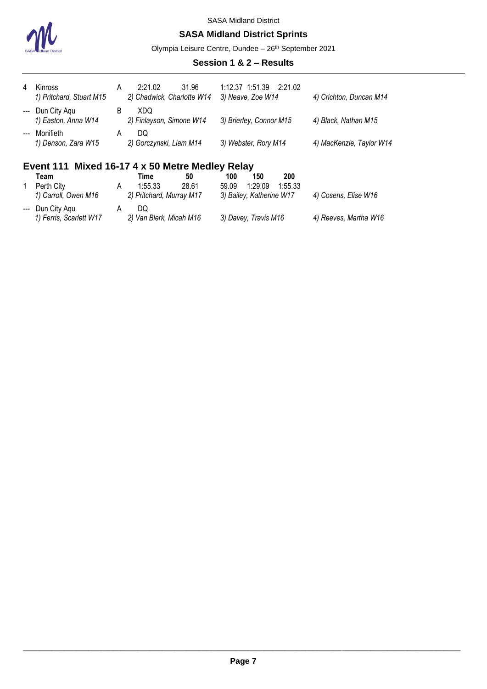

#### **SASA Midland District Sprints**

Olympia Leisure Centre, Dundee - 26<sup>th</sup> September 2021

#### **Session 1 & 2 – Results**

| 4     | Kinross<br>1) Pritchard, Stuart M15                                                        | A                  | 31.96<br>2:21.02<br>2) Chadwick, Charlotte W14 | 1:12.37 1:51.39 2:21.02<br>3) Neave, Zoe W14 | 4) Crichton, Duncan M14  |  |  |  |  |
|-------|--------------------------------------------------------------------------------------------|--------------------|------------------------------------------------|----------------------------------------------|--------------------------|--|--|--|--|
|       | --- Dun City Aqu<br>1) Easton, Anna W14                                                    | B                  | XDQ<br>2) Finlayson, Simone W14                | 3) Brierley, Connor M15                      | 4) Black, Nathan M15     |  |  |  |  |
| $---$ | Monifieth<br>1) Denson, Zara W15                                                           | A                  | DQ.<br>2) Gorczynski, Liam M14                 | 3) Webster, Rory M14                         | 4) MacKenzie, Taylor W14 |  |  |  |  |
|       | Event 111 Mixed 16-17 4 x 50 Metre Medley Relay<br>100<br>200<br>150<br>Team<br>50<br>Time |                    |                                                |                                              |                          |  |  |  |  |
|       | $D$ <sub>arth</sub> $C$ ity                                                                | $\mathbf{\Lambda}$ | <b>28.61</b><br>1.55.22                        | 1.20 $00$<br>1.55.22<br>50. VO               |                          |  |  |  |  |

Perth City **A** 1:55.33 28.61 59.09 1:29.09 1:55.33<br>1) Carroll, Owen M16 2) Pritchard, Murray M17 3) Bailey, Katherine W17 *1) Carroll, Owen M16 2) Pritchard, Murray M17 3) Bailey, Katherine W17 4) Cosens, Elise W16* --- Dun City Aqu A DQ<br>
1) Ferris, Scarlett W17 2) Van *1) Ferris, Scarlett W17 2) Van Blerk, Micah M16 3) Davey, Travis M16 4) Reeves, Martha W16*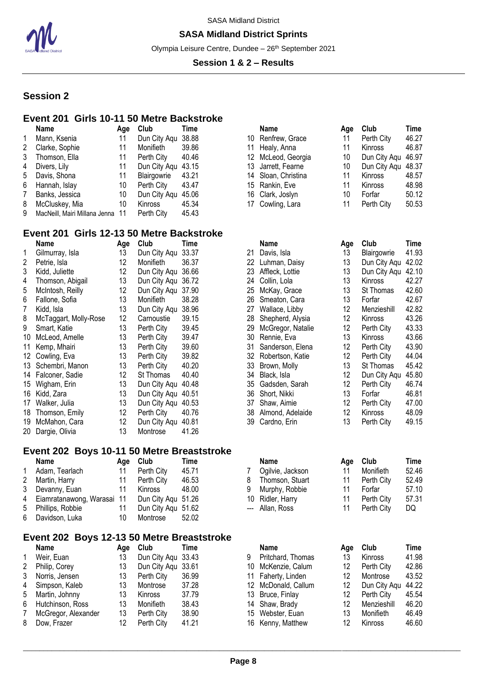

#### **SASA Midland District Sprints**

Olympia Leisure Centre, Dundee - 26<sup>th</sup> September 2021

#### **Session 1 & 2 – Results**

## **Session 2**

#### **Event 201 Girls 10-11 50 Metre Backstroke**

|   | Name                             | Aae | Club               | Time  | Name                | Age | Club               | Time  |
|---|----------------------------------|-----|--------------------|-------|---------------------|-----|--------------------|-------|
|   | Mann, Ksenia                     |     | Dun City Agu 38.88 |       | 10 Renfrew, Grace   |     | Perth City         | 46.2  |
| 2 | Clarke, Sophie                   |     | Monifieth          | 39.86 | 11 Healy, Anna      |     | Kinross            | 46.87 |
| 3 | Thomson, Ella                    | 11  | Perth City         | 40.46 | 12 McLeod, Georgia  | 10  | Dun City Agu 46.97 |       |
| 4 | Divers, Lily                     |     | Dun City Agu 43.15 |       | 13 Jarrett, Fearne  | 10  | Dun City Agu 48.37 |       |
|   | 5 Davis, Shona                   |     | Blairgowrie        | 43.21 | 14 Sloan, Christina |     | Kinross            | 48.57 |
| 6 | Hannah, Islay                    | 10  | Perth City         | 43.47 | 15 Rankin, Eve      |     | Kinross            | 48.98 |
|   | Banks, Jessica                   | 10  | Dun City Agu 45.06 |       | 16 Clark, Joslyn    | 10  | Forfar             | 50.12 |
| 8 | McCluskey, Mia                   | 10  | Kinross            | 45.34 | 17 Cowling, Lara    |     | Perth City         | 50.53 |
| 9 | MacNeill, Mairi Millana Jenna 11 |     | Perth City         | 45.43 |                     |     |                    |       |

## **Event 201 Girls 12-13 50 Metre Backstroke**

|    | Name                  | Age | Club               | Time  |     | Name              | Age | Club               | Time           |
|----|-----------------------|-----|--------------------|-------|-----|-------------------|-----|--------------------|----------------|
|    | Gilmurray, Isla       | 13  | Dun City Agu       | 33.37 | 21  | Davis, Isla       | 13  | <b>Blairgowrie</b> | 41.93          |
| 2  | Petrie, Isla          | 12  | Monifieth          | 36.37 | 22  | Luhman, Daisy     | 13  | Dun City Aqu       | 42.02          |
| 3  | Kidd, Juliette        | 12  | Dun City Agu       | 36.66 | 23  | Affleck, Lottie   | 13  | Dun City Agu       | 42.10          |
| 4  | Thomson, Abigail      | 13  | Dun City Aqu       | 36.72 | 24  | Collin, Lola      | 13  | <b>Kinross</b>     | 42.27          |
| 5  | McIntosh, Reilly      | 12  | Dun City Agu       | 37.90 | 25  | McKay, Grace      | 13  | St Thomas          | 42.60          |
| 6  | Fallone, Sofia        | 13  | Monifieth          | 38.28 | 26  | Smeaton, Cara     | 13  | Forfar             | 42.6           |
| 7  | Kidd, Isla            | 13  | Dun City Aqu       | 38.96 | 27  | Wallace, Libby    | 12  | Menzieshill        | 42.82          |
| 8  | McTaggart, Molly-Rose | 12  | Carnoustie         | 39.15 | 28  | Shepherd, Alysia  | 12  | Kinross            | 43.26          |
| 9  | Smart, Katie          | 13  | Perth City         | 39.45 | 29  | McGregor, Natalie | 12  | Perth City         | 43.33          |
| 10 | McLeod, Amelle        | 13  | Perth City         | 39.47 | 30  | Rennie, Eva       | 13  | Kinross            | 43.66          |
| 11 | Kemp, Mhairi          | 13  | Perth City         | 39.60 | 31  | Sanderson, Elena  | 12  | Perth City         | 43.90          |
| 12 | Cowling, Eva          | 13  | Perth City         | 39.82 | 32. | Robertson, Katie  | 12  | Perth City         | 44.04          |
|    | 13 Schembri, Manon    | 13  | Perth City         | 40.20 | 33  | Brown, Molly      | 13  | St Thomas          | 45.42          |
|    | 14 Falconer, Sadie    | 12  | St Thomas          | 40.40 | 34  | Black, Isla       | 12  | Dun City Aqu       | 45.80          |
|    | 15 Wigham, Erin       | 13  | Dun City Aqu       | 40.48 | 35  | Gadsden, Sarah    | 12  | Perth City         | 46.74          |
|    | 16 Kidd, Zara         | 13  | Dun City Agu 40.51 |       | 36  | Short, Nikki      | 13  | Forfar             | $46.8^{\circ}$ |
| 17 | Walker, Julia         | 13  | Dun City Agu       | 40.53 | 37  | Shaw, Aimie       | 12  | Perth City         | 47.00          |
| 18 | Thomson, Emily        | 12  | Perth City         | 40.76 | 38  | Almond, Adelaide  | 12  | <b>Kinross</b>     | 48.09          |
| 19 | McMahon, Cara         | 12  | Dun City Agu       | 40.81 | 39  | Cardno, Erin      | 13  | Perth City         | 49.1           |
|    | 20 Dargie, Olivia     | 13  | Montrose           | 41.26 |     |                   |     |                    |                |

#### **Event 202 Boys 10-11 50 Metre Breaststroke**

| Name                                            | Aae | Club               | Time  |   | Name             | Age Club   | Time  |
|-------------------------------------------------|-----|--------------------|-------|---|------------------|------------|-------|
| Adam, Tearlach                                  |     | Perth City         | 45.71 |   | Ogilvie, Jackson | Monifieth  | 52.4  |
| 2 Martin, Harry                                 |     | Perth City         | 46.53 | 8 | Thomson, Stuart  | Perth City | 52.49 |
| 3 Devanny, Euan                                 |     | Kinross            | 48.00 | 9 | Murphy, Robbie   | Forfar     | 57.10 |
| 4 Eiamratanawong, Warasai 11 Dun City Agu 51.26 |     |                    |       |   | 10 Ridler, Harry | Perth City | 57.3' |
| 5 Phillips, Robbie                              |     | Dun City Agu 51.62 |       |   | --- Allan, Ross  | Perth City | DQ.   |
| 6 Davidson, Luka                                | 10  | Montrose           | 52.02 |   |                  |            |       |

#### **Event 202 Boys 12-13 50 Metre Breaststroke**

|   | Name                | Age | Club         | l ime |
|---|---------------------|-----|--------------|-------|
| 1 | Weir, Euan          | 13  | Dun City Aqu | 33.43 |
| 2 | Philip, Corey       | 13  | Dun City Aqu | 33.61 |
| 3 | Norris, Jensen      | 13  | Perth City   | 36.99 |
| 4 | Simpson, Kaleb      | 13  | Montrose     | 37.28 |
| 5 | Martin, Johnny      | 13  | Kinross      | 37.79 |
| 6 | Hutchinson, Ross    | 13  | Monifieth    | 38.43 |
| 7 | McGregor, Alexander | 13  | Perth City   | 38.90 |
| 8 | Dow, Frazer         | 12  | Perth City   | 41.21 |

| <b>Name</b>         | Age | Club               | Time  |
|---------------------|-----|--------------------|-------|
| 10 Renfrew, Grace   | 11  | Perth City         | 46.27 |
| 11 Healy, Anna      | 11  | Kinross            | 46.87 |
| 12 McLeod, Georgia  | 10  | Dun City Aqu 46.97 |       |
| 13 Jarrett, Fearne  | 10  | Dun City Aqu 48.37 |       |
| 14 Sloan, Christina | 11  | Kinross            | 48.57 |
| 15 Rankin, Eve      | 11  | Kinross            | 48.98 |
| 16 Clark, Joslyn    | 10  | Forfar             | 50.12 |
| 17 Cowling, Lara    | 11  | Perth City         | 50.53 |

|    | Name              | Age             | Club         | Time  |
|----|-------------------|-----------------|--------------|-------|
| 21 | Davis, Isla       | 13              | Blairgowrie  | 41.93 |
| 22 | Luhman, Daisy     | 13              | Dun City Aqu | 42.02 |
| 23 | Affleck, Lottie   | 13              | Dun City Aqu | 42.10 |
| 24 | Collin, Lola      | 13              | Kinross      | 42.27 |
| 25 | McKay, Grace      | 13              | St Thomas    | 42.60 |
| 26 | Smeaton, Cara     | 13.             | Forfar       | 42.67 |
| 27 | Wallace, Libby    | 12              | Menzieshill  | 42.82 |
| 28 | Shepherd, Alysia  | 12.             | Kinross      | 43.26 |
| 29 | McGregor, Natalie | 12              | Perth City   | 43.33 |
| 30 | Rennie, Eva       | 13              | Kinross      | 43.66 |
| 31 | Sanderson, Elena  | 12              | Perth City   | 43.90 |
| 32 | Robertson, Katie  | 12.             | Perth City   | 44.04 |
| 33 | Brown, Molly      | 13              | St Thomas    | 45.42 |
| 34 | Black, Isla       | 12              | Dun City Aqu | 45.80 |
| 35 | Gadsden, Sarah    | 12.             | Perth City   | 46.74 |
| 36 | Short, Nikki      | 13              | Forfar       | 46.81 |
| 37 | Shaw, Aimie       | 12              | Perth City   | 47.00 |
| 38 | Almond, Adelaide  | 12 <sup>°</sup> | Kinross      | 48.09 |
| 39 | Cardno, Erin      | 13              | Perth City   | 49.15 |

|   | <b>Name</b>      | Aae | Club       | Time  |
|---|------------------|-----|------------|-------|
| 7 | Ogilvie, Jackson | 11  | Monifieth  | 52.46 |
| 8 | Thomson, Stuart  | 11  | Perth City | 52.49 |
|   | 9 Murphy, Robbie | 11  | Forfar     | 57.10 |
|   | 10 Ridler, Harry | 11  | Perth City | 57.31 |
|   | --- Allan, Ross  | 11  | Perth City | DQ    |

| Aae | <b>Club</b>    | Time  |                                          | Name              | Aae                                                                                                                                            | <b>Club</b>  | Time  |
|-----|----------------|-------|------------------------------------------|-------------------|------------------------------------------------------------------------------------------------------------------------------------------------|--------------|-------|
| 13  |                |       |                                          | Pritchard, Thomas | 13                                                                                                                                             | Kinross      | 41.98 |
| 13  |                |       |                                          |                   | 12                                                                                                                                             | Perth City   | 42.86 |
| 13  | Perth City     | 36.99 |                                          |                   | 12                                                                                                                                             | Montrose     | 43.52 |
| 13  | Montrose       | 37.28 |                                          |                   | 12                                                                                                                                             | Dun City Aqu | 44.22 |
| 13  | <b>Kinross</b> | 37.79 |                                          |                   | 12.                                                                                                                                            | Perth City   | 45.54 |
| 13  | Monifieth      | 38.43 |                                          |                   | 12                                                                                                                                             | Menzieshill  | 46.20 |
| 13  | Perth City     | 38.90 |                                          |                   | 13                                                                                                                                             | Monifieth    | 46.49 |
| 12  | Perth City     | 41.21 |                                          |                   | 12                                                                                                                                             | Kinross      | 46.60 |
|     |                |       | Dun City Aqu 33.43<br>Dun City Agu 33.61 |                   | 10 McKenzie, Calum<br>11 Faherty, Linden<br>12 McDonald, Callum<br>13 Bruce, Finlay<br>14 Shaw, Brady<br>15 Webster, Euan<br>16 Kenny, Matthew |              |       |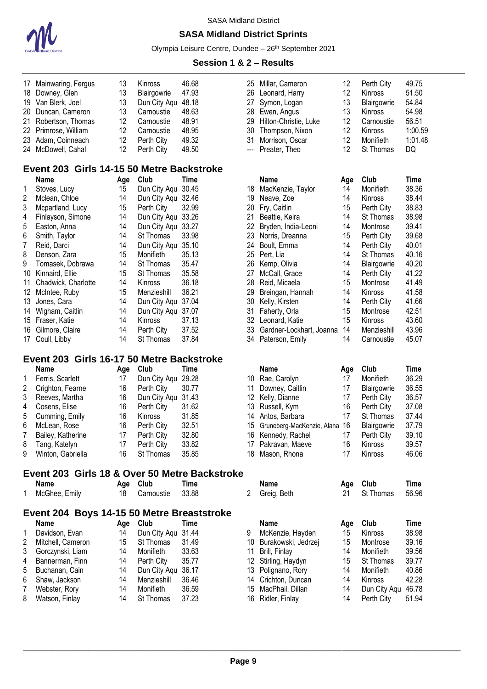

#### **SASA Midland District Sprints**

Olympia Leisure Centre, Dundee - 26<sup>th</sup> September 2021

#### **Session 1 & 2 – Results**

| 17 Mainwaring, Fergus | 13 | <b>Kinross</b> | 46.68 |
|-----------------------|----|----------------|-------|
| 18 Downey, Glen       | 13 | Blairgowrie    | 47.93 |
| 19 Van Blerk, Joel    | 13 | Dun City Agu   | 48.18 |
| 20 Duncan, Cameron    | 13 | Carnoustie     | 48.63 |
| 21 Robertson, Thomas  | 12 | Carnoustie     | 48.91 |
| 22 Primrose, William  | 12 | Carnoustie     | 48.95 |
| 23 Adam, Coinneach    | 12 | Perth City     | 49.32 |
| 24 McDowell, Cahal    | 12 | Perth City     | 49.50 |

## **Event 203 Girls 14-15 50 Metre Backstroke**

|    | Name                | Age | Club             | Time  |
|----|---------------------|-----|------------------|-------|
| 1  | Stoves, Lucy        | 15  | Dun City Aqu     | 30.45 |
| 2  | Mclean, Chloe       | 14  | Dun City Aqu     | 32.46 |
| 3  | Mcpartland, Lucy    | 15  | Perth City       | 32.99 |
| 4  | Finlayson, Simone   | 14  | Dun City Aqu     | 33.26 |
| 5  | Easton, Anna        | 14  | Dun City Aqu     | 33.27 |
| 6  | Smith, Taylor       | 14  | <b>St Thomas</b> | 33.98 |
| 7  | Reid, Darci         | 14  | Dun City Aqu     | 35.10 |
| 8  | Denson, Zara        | 15  | Monifieth        | 35.13 |
| 9  | Tomasek, Dobrawa    | 14  | St Thomas        | 35.47 |
| 10 | Kinnaird, Ellie     | 15  | St Thomas        | 35.58 |
| 11 | Chadwick, Charlotte | 14  | <b>Kinross</b>   | 36.18 |
| 12 | McIntee, Ruby       | 15  | Menzieshill      | 36.21 |
| 13 | Jones, Cara         | 14  | Dun City Aqu     | 37.04 |
| 14 | Wigham, Caitlin     | 14  | Dun City Aqu     | 37.07 |
| 15 | Fraser, Katie       | 14  | Kinross          | 37.13 |
| 16 | Gilmore, Claire     | 14  | Perth City       | 37.52 |
| 17 | Coull, Libby        | 14  | St Thomas        | 37.84 |

## **Event 203 Girls 16-17 50 Metre Backstroke**

|   | Name              | Aae | Club               | Time  |    | Name                             | Aae | Club             | Time  |
|---|-------------------|-----|--------------------|-------|----|----------------------------------|-----|------------------|-------|
|   | Ferris, Scarlett  | 17  | Dun City Agu 29.28 |       |    | 10 Rae, Carolyn                  |     | Monifieth        | 36.29 |
| 2 | Crighton, Fearne  | 16  | Perth City         | 30.77 | 11 | Downey, Caitlin                  |     | Blairgowrie      | 36.55 |
| 3 | Reeves, Martha    | 16  | Dun City Agu 31.43 |       |    | 12 Kelly, Dianne                 |     | Perth City       | 36.57 |
|   | 4 Cosens, Elise   | 16  | Perth City         | 31.62 |    | 13 Russell, Kym                  | 16  | Perth City       | 37.08 |
|   | 5 Cumming, Emily  | 16  | Kinross            | 31.85 |    | 14 Antos, Barbara                |     | <b>St Thomas</b> | 37.44 |
|   | 6 McLean, Rose    | 16  | Perth City         | 32.51 |    | 15 Gruneberg-MacKenzie, Alana 16 |     | Blairgowrie      | 37.79 |
| 7 | Bailey, Katherine | 17  | Perth City         | 32.80 |    | 16 Kennedy, Rachel               |     | Perth City       | 39.10 |
| 8 | Tang, Katelyn     | 17  | Perth City         | 33.82 |    | 17 Pakravan, Maeve               | 16  | Kinross          | 39.57 |
| 9 | Winton, Gabriella | 16  | St Thomas          | 35.85 |    | 18 Mason, Rhona                  |     | <b>Kinross</b>   | 46.06 |

# **Event 203 Girls 18 & Over 50 Metre Backstroke**

| lamı |
|------|
|------|

|          |    | Aye viuw   | пше   |
|----------|----|------------|-------|
| e, Emily | 18 | Carnoustie | 33.88 |

#### **Event 204 Boys 14-15 50 Metre Breaststroke**

|   | Name              | Age | Club         | Time  |
|---|-------------------|-----|--------------|-------|
| 1 | Davidson, Evan    | 14  | Dun City Aqu | 31.44 |
| 2 | Mitchell, Cameron | 15  | St Thomas    | 31.49 |
| 3 | Gorczynski, Liam  | 14  | Monifieth    | 33.63 |
| 4 | Bannerman, Finn   | 14  | Perth City   | 35.77 |
| 5 | Buchanan, Cain    | 14  | Dun City Agu | 36.17 |
| 6 | Shaw, Jackson     | 14  | Menzieshill  | 36.46 |
| 7 | Webster, Rory     | 14  | Monifieth    | 36.59 |
| 8 | Watson, Finlay    | 14  | St Thomas    | 37.23 |

| 25 Millar, Cameron<br>26 Leonard, Harry<br>27 Symon, Logan<br>28 Ewen, Angus<br>29 Hilton-Christie, Luke | $12 \overline{ }$<br>12<br>13<br>13<br>12<br>12 | Perth City<br>Kinross<br>Blairgowrie<br>Kinross<br>Carnoustie<br>Kinross | 49.75<br>51.50<br>54.84<br>54.98<br>56.51<br>1:00.59 |
|----------------------------------------------------------------------------------------------------------|-------------------------------------------------|--------------------------------------------------------------------------|------------------------------------------------------|
| 30 Thompson, Nixon                                                                                       |                                                 |                                                                          |                                                      |
| 31 Morrison, Oscar<br>--- Preater, Theo                                                                  | 12<br>12                                        | Monifieth<br>St Thomas                                                   | 1:01.48<br>DQ                                        |
|                                                                                                          |                                                 |                                                                          |                                                      |

| Name                | Age | Club           | Time  |     | Name                     | Age | Club           | Time  |
|---------------------|-----|----------------|-------|-----|--------------------------|-----|----------------|-------|
| Stoves, Lucy        | 15  | Dun City Agu   | 30.45 | 18  | MacKenzie, Taylor        | 14  | Monifieth      | 38.36 |
| Mclean, Chloe       | 14  | Dun City Agu   | 32.46 | 19  | Neave, Zoe               | 14  | Kinross        | 38.44 |
| Mcpartland, Lucy    | 15  | Perth City     | 32.99 | 20  | Fry, Caitlin             | 15  | Perth City     | 38.83 |
| Finlayson, Simone   | 14  | Dun City Aqu   | 33.26 | 21  | Beattie, Keira           | 14  | St Thomas      | 38.98 |
| Easton, Anna        | 14  | Dun City Aqu   | 33.27 | 22. | Bryden, India-Leoni      | 14  | Montrose       | 39.41 |
| Smith, Taylor       | 14  | St Thomas      | 33.98 | 23. | Norris, Dreanna          | 15  | Perth City     | 39.68 |
| Reid, Darci         | 14  | Dun City Aqu   | 35.10 | 24  | Boult, Emma              | 14  | Perth City     | 40.01 |
| Denson, Zara        | 15  | Monifieth      | 35.13 | 25  | Pert. Lia                | 14  | St Thomas      | 40.16 |
| Tomasek, Dobrawa    | 14  | St Thomas      | 35.47 | 26  | Kemp, Olivia             | 14  | Blairgowrie    | 40.20 |
| Kinnaird, Ellie     | 15  | St Thomas      | 35.58 | 27  | McCall, Grace            | 14  | Perth City     | 41.22 |
| Chadwick, Charlotte | 14  | <b>Kinross</b> | 36.18 | 28  | Reid, Micaela            | 15  | Montrose       | 41.49 |
| McIntee, Ruby       | 15  | Menzieshill    | 36.21 | 29  | Breingan, Hannah         | 14  | <b>Kinross</b> | 41.58 |
| Jones. Cara         | 14  | Dun City Agu   | 37.04 | 30  | Kelly, Kirsten           | 14  | Perth City     | 41.66 |
| Wigham, Caitlin     | 14  | Dun City Aqu   | 37.07 | 31  | Faherty, Orla            | 15  | Montrose       | 42.51 |
| Fraser, Katie       | 14  | <b>Kinross</b> | 37.13 | 32  | Leonard, Katie           | 15  | <b>Kinross</b> | 43.60 |
| Gilmore, Claire     | 14  | Perth City     | 37.52 | 33  | Gardner-Lockhart, Joanna | 14  | Menzieshill    | 43.96 |
| Coull, Libby        | 14  | St Thomas      | 37.84 | 34  | Paterson, Emily          | 14  | Carnoustie     | 45.07 |

| <b>Name</b>        |    | Club                                 | Time  |
|--------------------|----|--------------------------------------|-------|
| 10 Rae, Carolyn    | 17 | Monifieth                            | 36.29 |
| Downey, Caitlin    | 17 | Blairgowrie                          | 36.55 |
| 12 Kelly, Dianne   | 17 | Perth City                           | 36.57 |
| 13 Russell, Kym    | 16 | Perth City                           | 37.08 |
| 14 Antos, Barbara  | 17 | St Thomas                            | 37.44 |
|                    | 16 | Blairgowrie                          | 37.79 |
| 16 Kennedy, Rachel | 17 | Perth City                           | 39.10 |
| 17 Pakravan, Maeve | 16 | Kinross                              | 39.57 |
| 18 Mason, Rhona    | 17 | Kinross                              | 46.06 |
|                    |    | Age<br>15 Gruneberg-MacKenzie, Alana |       |

| Name          | Age Club   | Time  | Name        | Age Club     | Time  |
|---------------|------------|-------|-------------|--------------|-------|
| McGhee, Emily | Carnoustie | 33.88 | Greig, Beth | 21 St Thomas | 56.96 |

| Name              | Aae | Club               | Time  |    | Name                   | Aae | Club             | Time  |
|-------------------|-----|--------------------|-------|----|------------------------|-----|------------------|-------|
| Davidson, Evan    | 14  | Dun City Aqu 31.44 |       |    | McKenzie, Hayden       | 15  | Kinross          | 38.98 |
| Mitchell, Cameron | 15  | St Thomas          | 31.49 |    | 10 Burakowski, Jedrzej | 15  | Montrose         | 39.16 |
| Gorczynski, Liam  | 14  | Monifieth          | 33.63 | 11 | Brill, Finlay          | 14  | Monifieth        | 39.56 |
| Bannerman, Finn   | 14  | Perth City         | 35.77 |    | 12 Stirling, Haydyn    | 15  | <b>St Thomas</b> | 39.77 |
| Buchanan, Cain    | 14  | Dun City Agu 36.17 |       |    | 13 Polignano, Rory     | 14  | Monifieth        | 40.86 |
| Shaw, Jackson     | 14  | Menzieshill        | 36.46 |    | 14 Crichton, Duncan    | 14  | Kinross          | 42.28 |
| Webster, Rory     | 14  | <b>Monifieth</b>   | 36.59 |    | 15 MacPhail, Dillan    | 14  | Dun City Agu     | 46.78 |
| Watson, Finlay    | 14  | St Thomas          | 37.23 |    | 16 Ridler, Finlay      | 14  | Perth City       | 51.94 |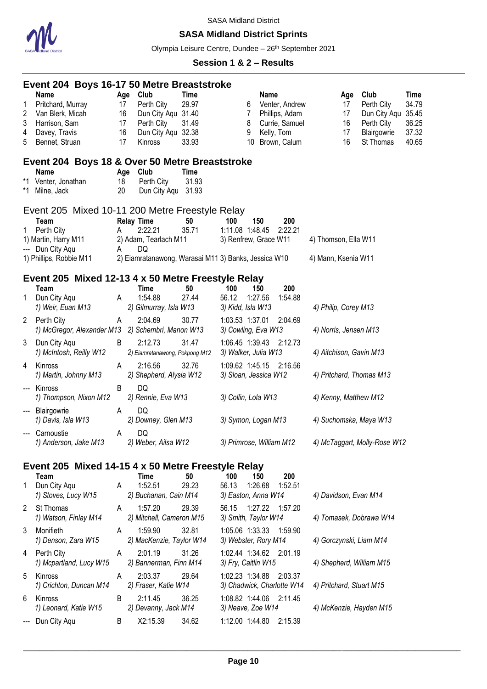

## **SASA Midland District Sprints**

Olympia Leisure Centre, Dundee - 26<sup>th</sup> September 2021

|                       | Event 204 Boys 16-17 50 Metre Breaststroke                                                        |                            |                                                                                             |                                        |                                                  |                |                                                                                  |                         |                                   |                                                                              |                                                   |
|-----------------------|---------------------------------------------------------------------------------------------------|----------------------------|---------------------------------------------------------------------------------------------|----------------------------------------|--------------------------------------------------|----------------|----------------------------------------------------------------------------------|-------------------------|-----------------------------------|------------------------------------------------------------------------------|---------------------------------------------------|
| 1<br>2<br>3<br>4<br>5 | Name<br>Pritchard, Murray<br>Van Blerk, Micah<br>Harrison, Sam<br>Davey, Travis<br>Bennet, Struan | 17<br>16<br>17<br>16<br>17 | Age Club<br>Perth City<br>Dun City Aqu 31.40<br>Perth City<br>Dun City Aqu 32.38<br>Kinross | <b>Time</b><br>29.97<br>31.49<br>33.93 | 6<br>$\overline{7}$<br>8<br>9<br>10              | <b>Name</b>    | Venter, Andrew<br>Phillips, Adam<br>Currie, Samuel<br>Kelly, Tom<br>Brown, Calum |                         | Age<br>17<br>17<br>16<br>17<br>16 | Club<br>Perth City<br>Dun City Aqu<br>Perth City<br>Blairgowrie<br>St Thomas | Time<br>34.79<br>35.45<br>36.25<br>37.32<br>40.65 |
|                       | Event 204 Boys 18 & Over 50 Metre Breaststroke                                                    |                            |                                                                                             |                                        |                                                  |                |                                                                                  |                         |                                   |                                                                              |                                                   |
| *1                    | Name<br>*1 Venter, Jonathan<br>Milne, Jack                                                        | Age<br>18<br>20            | Club<br>Perth City<br>Dun City Aqu                                                          | <b>Time</b><br>31.93<br>31.93          |                                                  |                |                                                                                  |                         |                                   |                                                                              |                                                   |
|                       | Event 205 Mixed 10-11 200 Metre Freestyle Relay<br>Team                                           |                            |                                                                                             | 50                                     | 100                                              |                | 200                                                                              |                         |                                   |                                                                              |                                                   |
| 1.                    | Perth City<br>1) Martin, Harry M11                                                                | A                          | <b>Relay Time</b><br>2:22.21<br>2) Adam, Tearlach M11                                       | 35.71                                  | 1:11.08 1:48.45<br>3) Renfrew, Grace W11         | 150            | 2:22.21                                                                          | 4) Thomson, Ella W11    |                                   |                                                                              |                                                   |
|                       | --- Dun City Agu<br>1) Phillips, Robbie M11                                                       | A                          | DQ<br>2) Eiamratanawong, Warasai M11 3) Banks, Jessica W10                                  |                                        |                                                  |                |                                                                                  | 4) Mann, Ksenia W11     |                                   |                                                                              |                                                   |
|                       | Event 205 Mixed 12-13 4 x 50 Metre Freestyle Relay                                                |                            |                                                                                             |                                        |                                                  |                |                                                                                  |                         |                                   |                                                                              |                                                   |
| 1                     | Team<br>Dun City Aqu<br>1) Weir, Euan M13                                                         | A                          | <b>Time</b><br>1:54.88<br>2) Gilmurray, Isla W13                                            | 50<br>27.44                            | 100<br>56.12<br>3) Kidd, Isla W13                | 150<br>1:27.56 | 200<br>1:54.88                                                                   | 4) Philip, Corey M13    |                                   |                                                                              |                                                   |
| $\mathbf{2}$          | Perth City<br>1) McGregor, Alexander M13 2) Schembri, Manon W13                                   | A                          | 2:04.69                                                                                     | 30.77                                  | 1:03.53 1:37.01 2:04.69<br>3) Cowling, Eva W13   |                |                                                                                  | 4) Norris, Jensen M13   |                                   |                                                                              |                                                   |
| 3                     | Dun City Aqu<br>1) McIntosh, Reilly W12                                                           | B                          | 2:12.73<br>2) Eiamratanawong, Pokpong M12                                                   | 31.47                                  | 1:06.45 1:39.43 2:12.73<br>3) Walker, Julia W13  |                |                                                                                  | 4) Aitchison, Gavin M13 |                                   |                                                                              |                                                   |
| 4                     | Kinross<br>1) Martin, Johnny M13                                                                  | A                          | 2:16.56<br>2) Shepherd, Alysia W12                                                          | 32.76                                  | 1:09.62 1:45.15 2:16.56<br>3) Sloan, Jessica W12 |                |                                                                                  |                         |                                   | 4) Pritchard, Thomas M13                                                     |                                                   |
|                       | Kinross<br>1) Thompson, Nixon M12                                                                 | B                          | DQ<br>2) Rennie, Eva W13                                                                    |                                        | 3) Collin, Lola W13                              |                |                                                                                  |                         |                                   | 4) Kenny, Matthew M12                                                        |                                                   |
|                       | Blairgowrie<br>1) Davis, Isla W13                                                                 | A                          | DQ<br>2) Downey, Glen M13                                                                   |                                        | 3) Symon, Logan M13                              |                |                                                                                  |                         |                                   | 4) Suchomska, Maya W13                                                       |                                                   |
|                       | Carnoustie<br>1) Anderson, Jake M13                                                               | A                          | DQ<br>2) Weber, Ailsa W12                                                                   |                                        | 3) Primrose, William M12                         |                |                                                                                  |                         |                                   | 4) McTaggart, Molly-Rose W12                                                 |                                                   |
|                       | Event 205 Mixed 14-15 4 x 50 Metre Freestyle Relay                                                |                            |                                                                                             |                                        |                                                  |                |                                                                                  |                         |                                   |                                                                              |                                                   |
|                       | Team                                                                                              |                            | Time                                                                                        | 50                                     | 100                                              | 150            | 200                                                                              |                         |                                   |                                                                              |                                                   |
| 1                     | Dun City Aqu<br>1) Stoves, Lucy W15                                                               | A                          | 1:52.51<br>2) Buchanan, Cain M14                                                            | 29.23                                  | 56.13<br>3) Easton, Anna W14                     | 1:26.68        | 1:52.51                                                                          |                         |                                   | 4) Davidson, Evan M14                                                        |                                                   |
| 2                     | St Thomas<br>1) Watson, Finlay M14                                                                | A                          | 1:57.20<br>2) Mitchell, Cameron M15                                                         | 29.39                                  | 56.15<br>3) Smith, Taylor W14                    | 1:27.22        | 1:57.20                                                                          |                         |                                   | 4) Tomasek, Dobrawa W14                                                      |                                                   |
| 3                     | Monifieth<br>1) Denson, Zara W15                                                                  | A                          | 1:59.90<br>2) MacKenzie, Taylor W14                                                         | 32.81                                  | 1:05.06 1:33.33<br>3) Webster, Rory M14          |                | 1:59.90                                                                          |                         |                                   | 4) Gorczynski, Liam M14                                                      |                                                   |
| 4                     | Perth City<br>1) Mcpartland, Lucy W15                                                             | A                          | 2:01.19<br>2) Bannerman, Finn M14                                                           | 31.26                                  | 1:02.44 1:34.62 2:01.19<br>3) Fry, Caitlin W15   |                |                                                                                  |                         |                                   | 4) Shepherd, William M15                                                     |                                                   |
| 5                     | Kinross<br>1) Crichton, Duncan M14                                                                | A                          | 2:03.37<br>2) Fraser, Katie W14                                                             | 29.64                                  | 1:02.23 1:34.88<br>3) Chadwick, Charlotte W14    |                | 2:03.37                                                                          |                         |                                   | 4) Pritchard, Stuart M15                                                     |                                                   |
| 6                     | Kinross<br>1) Leonard, Katie W15                                                                  | B                          | 2:11.45<br>2) Devanny, Jack M14                                                             | 36.25                                  | 1:08.82 1:44.06<br>3) Neave, Zoe W14             |                | 2:11.45                                                                          |                         |                                   | 4) McKenzie, Hayden M15                                                      |                                                   |
|                       | Dun City Aqu                                                                                      | B                          | X2:15.39                                                                                    | 34.62                                  | 1:12.00 1:44.80                                  |                | 2:15.39                                                                          |                         |                                   |                                                                              |                                                   |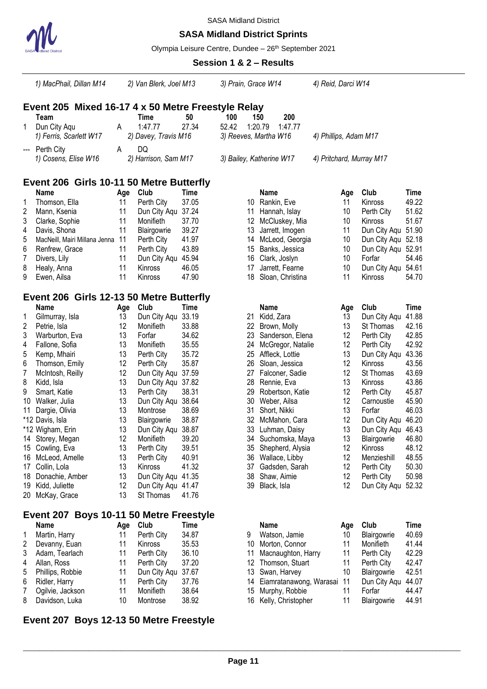

## **SASA Midland District Sprints**

Olympia Leisure Centre, Dundee - 26<sup>th</sup> September 2021

|                  | 1) MacPhail, Dillan M14                            |          | 2) Van Blerk, Joel M13 |                | 3) Prain, Grace W14   |                                      | 4) Reid, Darci W14       |          |                              |                |
|------------------|----------------------------------------------------|----------|------------------------|----------------|-----------------------|--------------------------------------|--------------------------|----------|------------------------------|----------------|
|                  | Event 205 Mixed 16-17 4 x 50 Metre Freestyle Relay |          |                        |                |                       |                                      |                          |          |                              |                |
|                  | Team                                               |          | Time                   | 50             | 100                   | 200<br>150                           |                          |          |                              |                |
| 1.               | Dun City Aqu                                       | A        | 1:47.77                | 27.34          | 52.42                 | 1:20.79<br>1:47.77                   |                          |          |                              |                |
|                  | 1) Ferris, Scarlett W17                            |          | 2) Davey, Travis M16   |                | 3) Reeves, Martha W16 |                                      | 4) Phillips, Adam M17    |          |                              |                |
|                  | Perth City                                         | A        | DQ                     |                |                       |                                      |                          |          |                              |                |
|                  | 1) Cosens, Elise W16                               |          | 2) Harrison, Sam M17   |                |                       | 3) Bailey, Katherine W17             | 4) Pritchard, Murray M17 |          |                              |                |
|                  | Event 206 Girls 10-11 50 Metre Butterfly           |          |                        |                |                       |                                      |                          |          |                              |                |
|                  | Name                                               | Age      | Club                   | <b>Time</b>    |                       | Name                                 |                          | Age      | Club                         | <b>Time</b>    |
| 1                | Thomson, Ella                                      | 11       | Perth City             | 37.05          |                       | 10 Rankin, Eve                       |                          | 11       | Kinross                      | 49.22          |
| 2                | Mann, Ksenia                                       | 11       | Dun City Aqu 37.24     |                | 11                    | Hannah, Islay                        |                          | 10       | Perth City                   | 51.62          |
| 3                | Clarke, Sophie                                     | 11       | Monifieth              | 37.70          | 12                    | McCluskey, Mia                       |                          | 10       | Kinross                      | 51.67          |
| 4                | Davis, Shona                                       | 11       | Blairgowrie            | 39.27          | 13                    | Jarrett, Imogen                      |                          | 11       | Dun City Aqu 51.90           |                |
| 5                | MacNeill, Mairi Millana Jenna                      | 11       | Perth City             | 41.97          | 14                    | McLeod, Georgia                      |                          | 10       | Dun City Aqu 52.18           |                |
| 6                | Renfrew, Grace                                     | 11       | Perth City             | 43.89          | 15                    | Banks, Jessica                       |                          | 10       | Dun City Aqu 52.91           |                |
| 7                | Divers, Lily                                       | 11       | Dun City Aqu 45.94     |                | 16                    | Clark, Joslyn                        |                          | 10       | Forfar                       | 54.46          |
| 8                | Healy, Anna                                        | 11       | Kinross                | 46.05          | 17                    | Jarrett, Fearne                      |                          | 10       | Dun City Aqu 54.61           |                |
| 9                | Ewen, Ailsa                                        | 11       | Kinross                | 47.90          | 18                    | Sloan, Christina                     |                          | 11       | Kinross                      | 54.70          |
|                  |                                                    |          |                        |                |                       |                                      |                          |          |                              |                |
|                  | Event 206 Girls 12-13 50 Metre Butterfly<br>Name   | Age      | Club                   | <b>Time</b>    |                       | <b>Name</b>                          |                          | Age      | Club                         | <b>Time</b>    |
| 1                | Gilmurray, Isla                                    | 13       | Dun City Aqu 33.19     |                | 21                    | Kidd, Zara                           |                          | 13       | Dun City Aqu 41.88           |                |
| 2                | Petrie, Isla                                       | 12       | Monifieth              | 33.88          | 22                    | Brown, Molly                         |                          | 13       | St Thomas                    | 42.16          |
| 3                | Warburton, Eva                                     | 13       | Forfar                 | 34.62          | 23                    | Sanderson, Elena                     |                          | 12       | Perth City                   | 42.85          |
| 4                | Fallone, Sofia                                     | 13       | Monifieth              | 35.55          | 24                    | McGregor, Natalie                    |                          | 12       | Perth City                   | 42.92          |
| 5                | Kemp, Mhairi                                       | 13       | Perth City             | 35.72          | 25                    | Affleck, Lottie                      |                          | 13       | Dun City Aqu 43.36           |                |
| 6                | Thomson, Emily                                     | 12       | Perth City             | 35.87          | 26                    | Sloan, Jessica                       |                          | 12       | Kinross                      | 43.56          |
| 7                | McIntosh, Reilly                                   | 12       | Dun City Aqu 37.59     |                | 27                    | Falconer, Sadie                      |                          | 12       | St Thomas                    | 43.69          |
| 8                | Kidd, Isla                                         | 13       | Dun City Aqu 37.82     |                | 28                    | Rennie, Eva                          |                          | 13       | Kinross                      | 43.86          |
| 9                | Smart, Katie                                       | 13       | Perth City             | 38.31          | 29                    | Robertson, Katie                     |                          | 12       | Perth City                   | 45.87          |
| 10               |                                                    | 13       | Dun City Aqu 38.64     |                | 30                    | Weber, Ailsa                         |                          | 12       | Carnoustie                   | 45.90          |
|                  | Walker, Julia                                      | 13       |                        | 38.69          |                       |                                      |                          | 13       |                              | 46.03          |
| 11               | Dargie, Olivia                                     | 13       | Montrose               | 38.87          | 31                    | Short, Nikki<br>McMahon, Cara        |                          | 12       | Forfar<br>Dun City Aqu 46.20 |                |
|                  | *12 Davis, Isla                                    | 13       | Blairgowrie            |                | 32                    |                                      |                          | 13       |                              |                |
|                  | *12 Wigham, Erin                                   | 12       | Dun City Aqu 38.87     |                |                       | 33 Luhman, Daisy                     |                          |          | Dun City Aqu 46.43           |                |
| 14               | Storey, Megan                                      |          | Monifieth              | 39.20<br>39.51 |                       | 34 Suchomska, Maya                   |                          | 13       | Blairgowrie                  | 46.80          |
| 15               | Cowling, Eva                                       | 13       | Perth City             |                | 35                    | Shepherd, Alysia                     |                          | 12       | Kinross                      | 48.12          |
| 16               | McLeod, Amelle                                     | 13       | Perth City             | 40.91          | 36                    | Wallace, Libby                       |                          | 12       | Menzieshill                  | 48.55          |
| 17               | Collin, Lola                                       | 13       | Kinross                | 41.32          | 37                    | Gadsden, Sarah                       |                          | 12       | Perth City                   | 50.30          |
| 18               | Donachie, Amber                                    | 13       | Dun City Aqu 41.35     |                | 38                    | Shaw, Aimie                          |                          | 12       | Perth City                   | 50.98          |
| 19               | Kidd, Juliette                                     | 12       | Dun City Aqu 41.47     |                | 39                    | Black, Isla                          |                          | 12       | Dun City Agu 52.32           |                |
| 20               | McKay, Grace                                       | 13       | St Thomas              | 41.76          |                       |                                      |                          |          |                              |                |
|                  | Event 207 Boys 10-11 50 Metre Freestyle            |          |                        |                |                       |                                      |                          |          |                              |                |
|                  | <b>Name</b>                                        |          | Age Club               | Time           |                       | Name                                 |                          | Age      | Club                         | <b>Time</b>    |
| 1                | Martin, Harry                                      | 11       | Perth City             | 34.87          | 9                     | Watson, Jamie                        |                          | 10       | Blairgowrie                  | 40.69          |
| 2                | Devanny, Euan                                      | 11       | Kinross                | 35.53          | 10                    | Morton, Connor                       |                          | 11       | Monifieth                    | 41.44          |
| 3                | Adam, Tearlach                                     | 11       | Perth City             | 36.10          | 11                    | Macnaughton, Harry                   |                          | 11       | Perth City                   | 42.29          |
|                  | Allan, Ross                                        | 11       | Perth City             | 37.20          | 12                    | Thomson, Stuart                      |                          | 11       | Perth City                   | 42.47          |
|                  | Phillips, Robbie                                   | 11       | Dun City Aqu 37.67     |                | 13                    | Swan, Harvey                         |                          | 10       | Blairgowrie                  | 42.51          |
|                  |                                                    |          |                        | 37.76          | 14                    | Eiamratanawong, Warasai              |                          | 11       | Dun City Aqu 44.07           |                |
|                  | Ridler, Harry                                      | 11       | Perth City             |                |                       |                                      |                          |          |                              |                |
| 4<br>5<br>6<br>8 | Ogilvie, Jackson<br>Davidson, Luka                 | 11<br>10 | Monifieth<br>Montrose  | 38.64<br>38.92 | 15<br>16              | Murphy, Robbie<br>Kelly, Christopher |                          | 11<br>11 | Forfar<br>Blairgowrie        | 44.47<br>44.91 |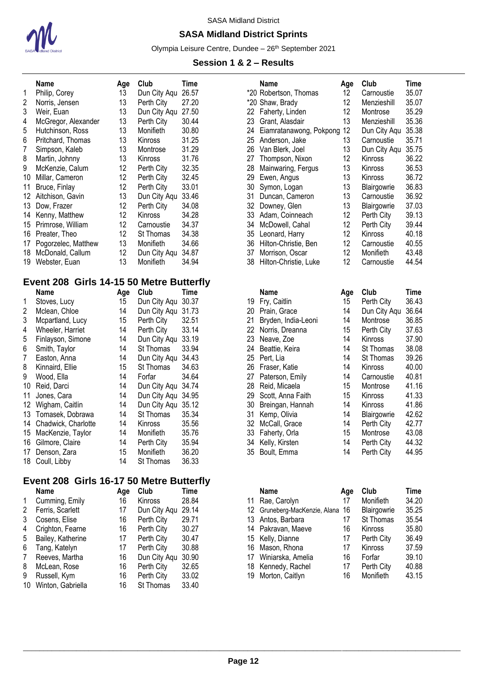

## **SASA Midland District Sprints**

Olympia Leisure Centre, Dundee - 26<sup>th</sup> September 2021

#### **Session 1 & 2 – Results**

|    | Name                | Age | Club           | Time  |
|----|---------------------|-----|----------------|-------|
| 1  | Philip, Corey       | 13  | Dun City Aqu   | 26.57 |
| 2  | Norris, Jensen      | 13  | Perth City     | 27.20 |
| 3  | Weir, Euan          | 13  | Dun City Aqu   | 27.50 |
| 4  | McGregor, Alexander | 13  | Perth City     | 30.44 |
| 5  | Hutchinson, Ross    | 13  | Monifieth      | 30.80 |
| 6  | Pritchard, Thomas   | 13  | <b>Kinross</b> | 31.25 |
| 7  | Simpson, Kaleb      | 13  | Montrose       | 31.29 |
| 8  | Martin, Johnny      | 13  | Kinross        | 31.76 |
| 9  | McKenzie, Calum     | 12  | Perth City     | 32.35 |
| 10 | Millar, Cameron     | 12. | Perth City     | 32.45 |
| 11 | Bruce, Finlay       | 12  | Perth City     | 33.01 |
| 12 | Aitchison, Gavin    | 13  | Dun City Aqu   | 33.46 |
| 13 | Dow, Frazer         | 12  | Perth City     | 34.08 |
| 14 | Kenny, Matthew      | 12  | Kinross        | 34.28 |
| 15 | Primrose, William   | 12  | Carnoustie     | 34.37 |
| 16 | Preater, Theo       | 12  | St Thomas      | 34.38 |
| 17 | Pogorzelec, Matthew | 13  | Monifieth      | 34.66 |
| 18 | McDonald, Callum    | 12  | Dun City Aqu   | 34.87 |
| 19 | Webster, Euan       | 13  | Monifieth      | 34.94 |

## **Event 208 Girls 14-15 50 Metre Butterfly**

|    | Name                | Age | Club         | Time  |
|----|---------------------|-----|--------------|-------|
| 1  | Stoves, Lucy        | 15  | Dun City Aqu | 30.37 |
| 2  | Mclean, Chloe       | 14  | Dun City Aqu | 31.73 |
| 3  | Mcpartland, Lucy    | 15  | Perth City   | 32.51 |
| 4  | Wheeler, Harriet    | 14  | Perth City   | 33.14 |
| 5  | Finlayson, Simone   | 14  | Dun City Aqu | 33.19 |
| 6  | Smith, Taylor       | 14  | St Thomas    | 33.94 |
| 7  | Easton, Anna        | 14  | Dun City Aqu | 34.43 |
| 8  | Kinnaird, Ellie     | 15  | St Thomas    | 34.63 |
| 9  | Wood, Ella          | 14  | Forfar       | 34.64 |
| 10 | Reid, Darci         | 14  | Dun City Aqu | 34.74 |
| 11 | Jones, Cara         | 14  | Dun City Aqu | 34.95 |
| 12 | Wigham, Caitlin     | 14  | Dun City Aqu | 35.12 |
| 13 | Tomasek, Dobrawa    | 14  | St Thomas    | 35.34 |
| 14 | Chadwick, Charlotte | 14  | Kinross      | 35.56 |
| 15 | MacKenzie, Taylor   | 14  | Monifieth    | 35.76 |
| 16 | Gilmore, Claire     | 14  | Perth City   | 35.94 |
| 17 | Denson, Zara        | 15  | Monifieth    | 36.20 |
| 18 | Coull, Libby        | 14  | St Thomas    | 36.33 |

# **Event 208 Girls 16-17 50 Metre Butterfly**

|    | Name              | Age | Club         | Time  |  |
|----|-------------------|-----|--------------|-------|--|
| 1  | Cumming, Emily    | 16  | Kinross      | 28.84 |  |
| 2  | Ferris, Scarlett  | 17  | Dun City Aqu | 29.14 |  |
| 3  | Cosens, Elise     | 16  | Perth City   | 29.71 |  |
| 4  | Crighton, Fearne  | 16  | Perth City   | 30.27 |  |
| 5  | Bailey, Katherine | 17  | Perth City   | 30.47 |  |
| 6  | Tang, Katelyn     | 17  | Perth City   | 30.88 |  |
| 7  | Reeves, Martha    | 16  | Dun City Agu | 30.90 |  |
| 8  | McLean, Rose      | 16  | Perth City   | 32.65 |  |
| 9  | Russell, Kym      | 16  | Perth City   | 33.02 |  |
| 10 | Winton, Gabriella | 16  | St Thomas    | 33.40 |  |
|    |                   |     |              |       |  |

| Name                | Age | Club         | Time  |     | Name                       | Age | Club         | Time  |
|---------------------|-----|--------------|-------|-----|----------------------------|-----|--------------|-------|
| Philip, Corey       | 13  | Dun City Agu | 26.57 |     | *20 Robertson, Thomas      | 12  | Carnoustie   | 35.07 |
| Norris, Jensen      | 13  | Perth City   | 27.20 |     | *20 Shaw, Brady            | 12  | Menzieshill  | 35.07 |
| Weir, Euan          | 13  | Dun City Aqu | 27.50 | 22. | Faherty, Linden            | 12  | Montrose     | 35.29 |
| McGregor, Alexander | 13  | Perth City   | 30.44 | 23  | Grant, Alasdair            | 13  | Menzieshill  | 35.36 |
| Hutchinson, Ross    | 13  | Monifieth    | 30.80 | 24  | Eiamratanawong, Pokpong 12 |     | Dun City Aqu | 35.38 |
| Pritchard, Thomas   | 13  | Kinross      | 31.25 | 25  | Anderson, Jake             | 13  | Carnoustie   | 35.71 |
| Simpson, Kaleb      | 13  | Montrose     | 31.29 | 26  | Van Blerk, Joel            | 13  | Dun City Aqu | 35.75 |
| Martin, Johnny      | 13  | Kinross      | 31.76 | 27  | Thompson, Nixon            | 12  | Kinross      | 36.22 |
| McKenzie, Calum     | 12  | Perth City   | 32.35 | 28  | Mainwaring, Fergus         | 13  | Kinross      | 36.53 |
| Millar, Cameron     | 12  | Perth City   | 32.45 | 29  | Ewen, Angus                | 13  | Kinross      | 36.72 |
| Bruce, Finlay       | 12  | Perth City   | 33.01 | 30  | Symon, Logan               | 13  | Blairgowrie  | 36.83 |
| Aitchison, Gavin    | 13  | Dun City Aqu | 33.46 | 31  | Duncan, Cameron            | 13  | Carnoustie   | 36.92 |
| Dow, Frazer         | 12  | Perth City   | 34.08 | 32. | Downey, Glen               | 13  | Blairgowrie  | 37.03 |
| Kenny, Matthew      | 12  | Kinross      | 34.28 | 33  | Adam, Coinneach            | 12  | Perth City   | 39.13 |
| Primrose, William   | 12  | Carnoustie   | 34.37 | 34  | McDowell, Cahal            | 12  | Perth City   | 39.44 |
| Preater, Theo       | 12  | St Thomas    | 34.38 | 35  | Leonard, Harry             | 12  | Kinross      | 40.18 |
| Pogorzelec, Matthew | 13  | Monifieth    | 34.66 | 36  | Hilton-Christie, Ben       | 12  | Carnoustie   | 40.55 |
| McDonald, Callum    | 12  | Dun City Agu | 34.87 | 37  | Morrison, Oscar            | 12  | Monifieth    | 43.48 |
| Webster, Euan       | 13  | Monifieth    | 34.94 | 38  | Hilton-Christie, Luke      | 12  | Carnoustie   | 44.54 |

| Name                | Age | Club               | Time  |     | <b>Name</b>         | Age | Club           | Time  |
|---------------------|-----|--------------------|-------|-----|---------------------|-----|----------------|-------|
| Stoves, Lucy        | 15  | Dun City Aqu       | 30.37 | 19  | Fry, Caitlin        | 15  | Perth City     | 36.43 |
| Mclean, Chloe       | 14  | Dun City Agu       | 31.73 | 20  | Prain, Grace        | 14  | Dun City Agu   | 36.64 |
| Mcpartland, Lucy    | 15  | Perth City         | 32.51 | 21  | Bryden, India-Leoni | 14  | Montrose       | 36.85 |
| Wheeler, Harriet    | 14  | Perth City         | 33.14 | 22  | Norris, Dreanna     | 15  | Perth City     | 37.63 |
| Finlayson, Simone   | 14  | Dun City Aqu       | 33.19 | 23  | Neave, Zoe          | 14  | <b>Kinross</b> | 37.90 |
| Smith, Taylor       | 14  | St Thomas          | 33.94 | 24  | Beattie, Keira      | 14  | St Thomas      | 38.08 |
| Easton, Anna        | 14  | Dun City Agu       | 34.43 | 25  | Pert, Lia           | 14  | St Thomas      | 39.26 |
| Kinnaird, Ellie     | 15  | St Thomas          | 34.63 | 26. | Fraser, Katie       | 14  | Kinross        | 40.00 |
| Wood, Ella          | 14  | Forfar             | 34.64 | 27  | Paterson, Emily     | 14  | Carnoustie     | 40.81 |
| Reid, Darci         | 14  | Dun City Agu       | 34.74 | 28  | Reid, Micaela       | 15  | Montrose       | 41.16 |
| Jones. Cara         | 14  | Dun City Agu 34.95 |       | 29  | Scott, Anna Faith   | 15  | <b>Kinross</b> | 41.33 |
| Wigham, Caitlin     | 14  | Dun City Aqu       | 35.12 | 30  | Breingan, Hannah    | 14  | <b>Kinross</b> | 41.86 |
| Tomasek, Dobrawa    | 14  | St Thomas          | 35.34 | 31  | Kemp, Olivia        | 14  | Blairgowrie    | 42.62 |
| Chadwick, Charlotte | 14  | <b>Kinross</b>     | 35.56 | 32  | McCall, Grace       | 14  | Perth City     | 42.77 |
| MacKenzie, Taylor   | 14  | Monifieth          | 35.76 | 33  | Faherty, Orla       | 15  | Montrose       | 43.08 |
| Gilmore, Claire     | 14  | Perth City         | 35.94 | 34  | Kelly, Kirsten      | 14  | Perth City     | 44.32 |
| Denson, Zara        | 15  | Monifieth          | 36.20 | 35  | Boult, Emma         | 14  | Perth City     | 44.95 |
|                     |     |                    |       |     |                     |     |                |       |

| Name              | Aae | Club           | Time  |     | <b>Name</b>                      | Age | Club        | Time  |
|-------------------|-----|----------------|-------|-----|----------------------------------|-----|-------------|-------|
| Cumming, Emily    | 16  | <b>Kinross</b> | 28.84 | 11  | Rae, Carolyn                     | 17  | Monifieth   | 34.20 |
| Ferris, Scarlett  | 17  | Dun City Aqu   | 29.14 |     | 12 Gruneberg-MacKenzie, Alana 16 |     | Blairgowrie | 35.25 |
| Cosens, Elise     | 16  | Perth City     | 29.71 | 13. | Antos, Barbara                   | 17  | St Thomas   | 35.54 |
| Crighton, Fearne  | 16  | Perth City     | 30.27 |     | 14 Pakravan, Maeve               | 16  | Kinross     | 35.80 |
| Bailey, Katherine | 17  | Perth City     | 30.47 |     | 15 Kelly, Dianne                 | 17  | Perth City  | 36.49 |
| Tang, Katelyn     | 17  | Perth City     | 30.88 |     | 16 Mason, Rhona                  | 17  | Kinross     | 37.59 |
| Reeves, Martha    | 16  | Dun City Aqu   | 30.90 | 17  | Winiarska, Amelia                | 16  | Forfar      | 39.10 |
| McLean, Rose      | 16  | Perth City     | 32.65 |     | 18 Kennedy, Rachel               | 17  | Perth City  | 40.88 |
| Russell, Kym      | 16  | Perth City     | 33.02 | 19. | Morton, Caitlyn                  | 16  | Monifieth   | 43.15 |
|                   |     |                |       |     |                                  |     |             |       |